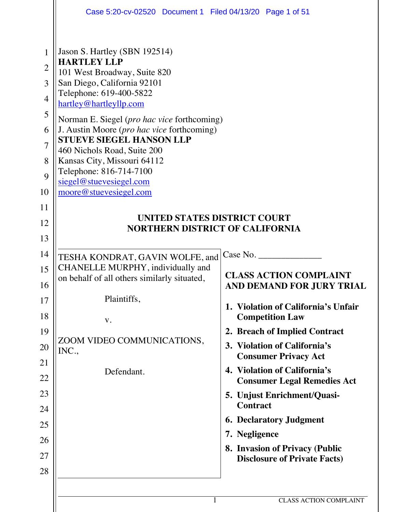|                                                                                        | Case 5:20-cv-02520 Document 1 Filed 04/13/20 Page 1 of 51                                                                                                                                                                                                                                                                                                                                                                                                     |                                                             |
|----------------------------------------------------------------------------------------|---------------------------------------------------------------------------------------------------------------------------------------------------------------------------------------------------------------------------------------------------------------------------------------------------------------------------------------------------------------------------------------------------------------------------------------------------------------|-------------------------------------------------------------|
| 1<br>$\overline{2}$<br>3<br>$\overline{4}$<br>5<br>6<br>$\overline{7}$<br>8<br>9<br>10 | Jason S. Hartley (SBN 192514)<br><b>HARTLEY LLP</b><br>101 West Broadway, Suite 820<br>San Diego, California 92101<br>Telephone: 619-400-5822<br>hartley@hartleyllp.com<br>Norman E. Siegel (pro hac vice forthcoming)<br>J. Austin Moore ( <i>pro hac vice</i> forthcoming)<br><b>STUEVE SIEGEL HANSON LLP</b><br>460 Nichols Road, Suite 200<br>Kansas City, Missouri 64112<br>Telephone: 816-714-7100<br>siegel@stuevesiegel.com<br>moore@stuevesiegel.com |                                                             |
| 11                                                                                     |                                                                                                                                                                                                                                                                                                                                                                                                                                                               |                                                             |
| 12                                                                                     | UNITED STATES DISTRICT COURT<br><b>NORTHERN DISTRICT OF CALIFORNIA</b>                                                                                                                                                                                                                                                                                                                                                                                        |                                                             |
| 13                                                                                     |                                                                                                                                                                                                                                                                                                                                                                                                                                                               |                                                             |
| 14                                                                                     | TESHA KONDRAT, GAVIN WOLFE, and                                                                                                                                                                                                                                                                                                                                                                                                                               | Case No.                                                    |
| 15                                                                                     | CHANELLE MURPHY, individually and                                                                                                                                                                                                                                                                                                                                                                                                                             |                                                             |
| 16                                                                                     | on behalf of all others similarly situated,                                                                                                                                                                                                                                                                                                                                                                                                                   | <b>CLASS ACTION COMPLAINT</b><br>AND DEMAND FOR JURY TRIAL  |
| 17                                                                                     | Plaintiffs,                                                                                                                                                                                                                                                                                                                                                                                                                                                   | 1. Violation of California's Unfair                         |
| 18                                                                                     | V.                                                                                                                                                                                                                                                                                                                                                                                                                                                            | <b>Competition Law</b>                                      |
| 19                                                                                     |                                                                                                                                                                                                                                                                                                                                                                                                                                                               | 2. Breach of Implied Contract                               |
| 20                                                                                     | ZOOM VIDEO COMMUNICATIONS,<br>INC.,                                                                                                                                                                                                                                                                                                                                                                                                                           | 3. Violation of California's<br><b>Consumer Privacy Act</b> |
| 21                                                                                     |                                                                                                                                                                                                                                                                                                                                                                                                                                                               | 4. Violation of California's                                |
| 22                                                                                     | Defendant.                                                                                                                                                                                                                                                                                                                                                                                                                                                    | <b>Consumer Legal Remedies Act</b>                          |
| 23                                                                                     |                                                                                                                                                                                                                                                                                                                                                                                                                                                               | 5. Unjust Enrichment/Quasi-<br><b>Contract</b>              |
| 24                                                                                     |                                                                                                                                                                                                                                                                                                                                                                                                                                                               |                                                             |
| 25                                                                                     |                                                                                                                                                                                                                                                                                                                                                                                                                                                               | <b>6. Declaratory Judgment</b><br>7. Negligence             |
| 26                                                                                     |                                                                                                                                                                                                                                                                                                                                                                                                                                                               | <b>8. Invasion of Privacy (Public</b>                       |
| 27                                                                                     |                                                                                                                                                                                                                                                                                                                                                                                                                                                               | <b>Disclosure of Private Facts)</b>                         |
| 28                                                                                     |                                                                                                                                                                                                                                                                                                                                                                                                                                                               |                                                             |
|                                                                                        |                                                                                                                                                                                                                                                                                                                                                                                                                                                               |                                                             |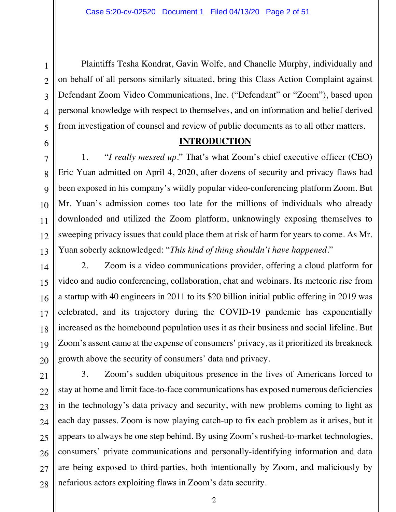Plaintiffs Tesha Kondrat, Gavin Wolfe, and Chanelle Murphy, individually and on behalf of all persons similarly situated, bring this Class Action Complaint against Defendant Zoom Video Communications, Inc. ("Defendant" or "Zoom"), based upon personal knowledge with respect to themselves, and on information and belief derived from investigation of counsel and review of public documents as to all other matters.

## **INTRODUCTION**

1. "*I really messed up*." That's what Zoom's chief executive officer (CEO) Eric Yuan admitted on April 4, 2020, after dozens of security and privacy flaws had been exposed in his company's wildly popular video-conferencing platform Zoom. But Mr. Yuan's admission comes too late for the millions of individuals who already downloaded and utilized the Zoom platform, unknowingly exposing themselves to sweeping privacy issues that could place them at risk of harm for years to come. As Mr. Yuan soberly acknowledged: "*This kind of thing shouldn't have happened*."

2. Zoom is a video communications provider, offering a cloud platform for video and audio conferencing, collaboration, chat and webinars. Its meteoric rise from a startup with 40 engineers in 2011 to its \$20 billion initial public offering in 2019 was celebrated, and its trajectory during the COVID-19 pandemic has exponentially increased as the homebound population uses it as their business and social lifeline. But Zoom's assent came at the expense of consumers' privacy, as it prioritized its breakneck growth above the security of consumers' data and privacy.

3. Zoom's sudden ubiquitous presence in the lives of Americans forced to stay at home and limit face-to-face communications has exposed numerous deficiencies in the technology's data privacy and security, with new problems coming to light as each day passes. Zoom is now playing catch-up to fix each problem as it arises, but it appears to always be one step behind. By using Zoom's rushed-to-market technologies, consumers' private communications and personally-identifying information and data are being exposed to third-parties, both intentionally by Zoom, and maliciously by nefarious actors exploiting flaws in Zoom's data security.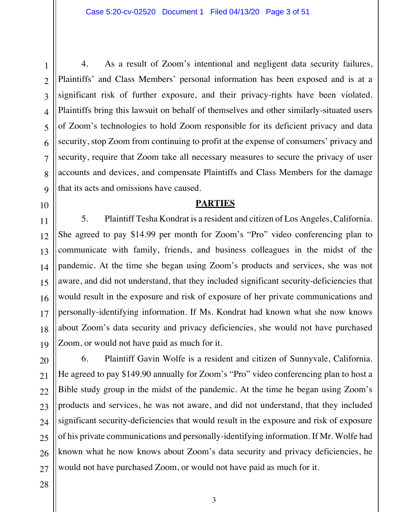4. As a result of Zoom's intentional and negligent data security failures, Plaintiffs' and Class Members' personal information has been exposed and is at a significant risk of further exposure, and their privacy-rights have been violated. Plaintiffs bring this lawsuit on behalf of themselves and other similarly-situated users of Zoom's technologies to hold Zoom responsible for its deficient privacy and data security, stop Zoom from continuing to profit at the expense of consumers' privacy and security, require that Zoom take all necessary measures to secure the privacy of user accounts and devices, and compensate Plaintiffs and Class Members for the damage that its acts and omissions have caused.

# **PARTIES**

5. Plaintiff Tesha Kondrat is a resident and citizen of Los Angeles, California. She agreed to pay \$14.99 per month for Zoom's "Pro" video conferencing plan to communicate with family, friends, and business colleagues in the midst of the pandemic. At the time she began using Zoom's products and services, she was not aware, and did not understand, that they included significant security-deficiencies that would result in the exposure and risk of exposure of her private communications and personally-identifying information. If Ms. Kondrat had known what she now knows about Zoom's data security and privacy deficiencies, she would not have purchased Zoom, or would not have paid as much for it.

6. Plaintiff Gavin Wolfe is a resident and citizen of Sunnyvale, California. He agreed to pay \$149.90 annually for Zoom's "Pro" video conferencing plan to host a Bible study group in the midst of the pandemic. At the time he began using Zoom's products and services, he was not aware, and did not understand, that they included significant security-deficiencies that would result in the exposure and risk of exposure of his private communications and personally-identifying information. If Mr. Wolfe had known what he now knows about Zoom's data security and privacy deficiencies, he would not have purchased Zoom, or would not have paid as much for it.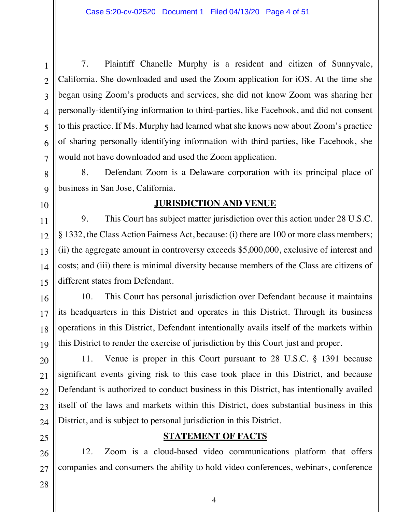7. Plaintiff Chanelle Murphy is a resident and citizen of Sunnyvale, California. She downloaded and used the Zoom application for iOS. At the time she began using Zoom's products and services, she did not know Zoom was sharing her personally-identifying information to third-parties, like Facebook, and did not consent to this practice. If Ms. Murphy had learned what she knows now about Zoom's practice of sharing personally-identifying information with third-parties, like Facebook, she would not have downloaded and used the Zoom application.

8. Defendant Zoom is a Delaware corporation with its principal place of business in San Jose, California.

## **JURISDICTION AND VENUE**

9. This Court has subject matter jurisdiction over this action under 28 U.S.C. § 1332, the Class Action Fairness Act, because: (i) there are 100 or more class members; (ii) the aggregate amount in controversy exceeds \$5,000,000, exclusive of interest and costs; and (iii) there is minimal diversity because members of the Class are citizens of different states from Defendant.

10. This Court has personal jurisdiction over Defendant because it maintains its headquarters in this District and operates in this District. Through its business operations in this District, Defendant intentionally avails itself of the markets within this District to render the exercise of jurisdiction by this Court just and proper.

11. Venue is proper in this Court pursuant to 28 U.S.C. § 1391 because significant events giving risk to this case took place in this District, and because Defendant is authorized to conduct business in this District, has intentionally availed itself of the laws and markets within this District, does substantial business in this District, and is subject to personal jurisdiction in this District.

# **STATEMENT OF FACTS**

12. Zoom is a cloud-based video communications platform that offers companies and consumers the ability to hold video conferences, webinars, conference

1 1

2 2

3 3

4 4

5 5

6 6

7 7

8 8

9 9

10 10

11 11

12 12

13 13

14 14

15 15

16 16

17 17

18 18

19 19

20 20

21 21

22 22

23 23

24 24

25 25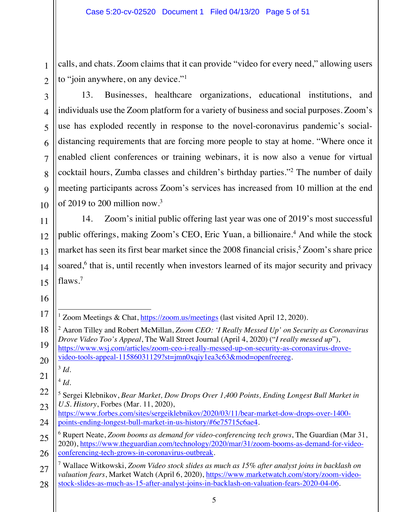calls, and chats. Zoom claims that it can provide "video for every need," allowing users to "join anywhere, on any device."<sup>1</sup>

13. Businesses, healthcare organizations, educational institutions, and individuals use the Zoom platform for a variety of business and social purposes. Zoom's use has exploded recently in response to the novel-coronavirus pandemic's socialdistancing requirements that are forcing more people to stay at home. "Where once it enabled client conferences or training webinars, it is now also a venue for virtual cocktail hours, Zumba classes and children's birthday parties."2 The number of daily meeting participants across Zoom's services has increased from 10 million at the end of 2019 to 200 million now.<sup>3</sup>

14. Zoom's initial public offering last year was one of 2019's most successful public offerings, making Zoom's CEO, Eric Yuan, a billionaire.<sup>4</sup> And while the stock market has seen its first bear market since the 2008 financial crisis,<sup>5</sup> Zoom's share price soared,<sup>6</sup> that is, until recently when investors learned of its major security and privacy flaws.<sup>7</sup>

<sup>3</sup> *Id.*

 $4$   $Id$ .

1 1

2 2

<sup>&</sup>lt;sup>1</sup> Zoom Meetings & Chat, https://zoom.us/meetings (last visited April 12, 2020).

<sup>2</sup> Aaron Tilley and Robert McMillan, *Zoom CEO: 'I Really Messed Up' on Security as Coronavirus Drove Video Too's Appeal*, The Wall Street Journal (April 4, 2020) ("*I really messed up*"), https://www.wsj.com/articles/zoom-ceo-i-really-messed-up-on-security-as-coronavirus-drovevideo-tools-appeal-11586031129?st=jmn0xqiy1ea3c63&mod=openfreereg.

<sup>5</sup> Sergei Klebnikov, *Bear Market, Dow Drops Over 1,400 Points, Ending Longest Bull Market in U.S. History*, Forbes (Mar. 11, 2020),

https://www.forbes.com/sites/sergeiklebnikov/2020/03/11/bear-market-dow-drops-over-1400 points-ending-longest-bull-market-in-us-history/#6e75715c6ae4.

<sup>25</sup> 25 26 26 6 Rupert Neate, *Zoom booms as demand for video-conferencing tech grows*, The Guardian (Mar 31, 2020), https://www.theguardian.com/technology/2020/mar/31/zoom-booms-as-demand-for-videoconferencing-tech-grows-in-coronavirus-outbreak.

<sup>27</sup> 27 28 28 7 Wallace Witkowski, *Zoom Video stock slides as much as 15% after analyst joins in backlash on valuation fears*, Market Watch (April 6, 2020), https://www.marketwatch.com/story/zoom-videostock-slides-as-much-as-15-after-analyst-joins-in-backlash-on-valuation-fears-2020-04-06.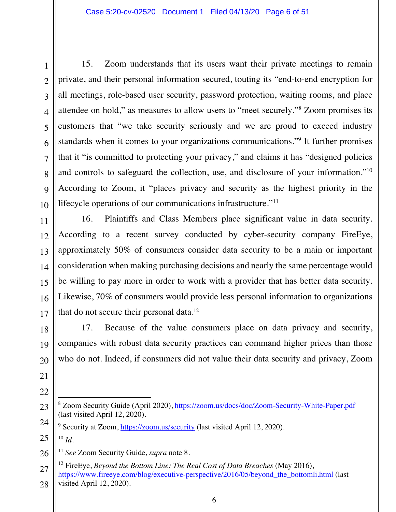15. Zoom understands that its users want their private meetings to remain private, and their personal information secured, touting its "end-to-end encryption for all meetings, role-based user security, password protection, waiting rooms, and place attendee on hold," as measures to allow users to "meet securely."8 Zoom promises its customers that "we take security seriously and we are proud to exceed industry standards when it comes to your organizations communications."9 It further promises that it "is committed to protecting your privacy," and claims it has "designed policies and controls to safeguard the collection, use, and disclosure of your information."10 According to Zoom, it "places privacy and security as the highest priority in the lifecycle operations of our communications infrastructure."<sup>11</sup>

16. Plaintiffs and Class Members place significant value in data security. According to a recent survey conducted by cyber-security company FireEye, approximately 50% of consumers consider data security to be a main or important consideration when making purchasing decisions and nearly the same percentage would be willing to pay more in order to work with a provider that has better data security. Likewise, 70% of consumers would provide less personal information to organizations that do not secure their personal data.<sup>12</sup>

17. Because of the value consumers place on data privacy and security, companies with robust data security practices can command higher prices than those who do not. Indeed, if consumers did not value their data security and privacy, Zoom

<sup>8</sup> Zoom Security Guide (April 2020), https://zoom.us/docs/doc/Zoom-Security-White-Paper.pdf (last visited April 12, 2020).

<sup>9</sup> Security at Zoom, https://zoom.us/security (last visited April 12, 2020).  $10 \, Id.$ 

<sup>11</sup> *See* Zoom Security Guide, *supra* note 8.

<sup>28</sup> 28 12 FireEye, *Beyond the Bottom Line: The Real Cost of Data Breaches* (May 2016), https://www.fireeye.com/blog/executive-perspective/2016/05/beyond the bottomli.html (last visited April 12, 2020).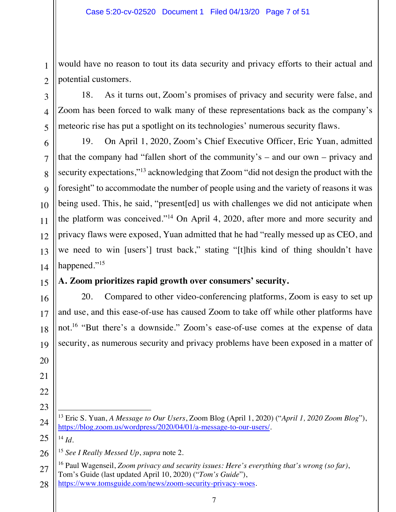1 1 2 2 would have no reason to tout its data security and privacy efforts to their actual and potential customers.

18. As it turns out, Zoom's promises of privacy and security were false, and Zoom has been forced to walk many of these representations back as the company's meteoric rise has put a spotlight on its technologies' numerous security flaws.

19. On April 1, 2020, Zoom's Chief Executive Officer, Eric Yuan, admitted that the company had "fallen short of the community's – and our own – privacy and security expectations,"<sup>13</sup> acknowledging that Zoom "did not design the product with the foresight" to accommodate the number of people using and the variety of reasons it was being used. This, he said, "present[ed] us with challenges we did not anticipate when the platform was conceived."14 On April 4, 2020, after more and more security and privacy flaws were exposed, Yuan admitted that he had "really messed up as CEO, and we need to win [users'] trust back," stating "[t]his kind of thing shouldn't have happened."<sup>15</sup>

# **A. Zoom prioritizes rapid growth over consumers' security.**

20. Compared to other video-conferencing platforms, Zoom is easy to set up and use, and this ease-of-use has caused Zoom to take off while other platforms have not.<sup>16</sup> "But there's a downside." Zoom's ease-of-use comes at the expense of data security, as numerous security and privacy problems have been exposed in a matter of

 $^{14}$  *Id.* 

<sup>15</sup> *See I Really Messed Up*, *supra* note 2.

<sup>13</sup> Eric S. Yuan, *A Message to Our Users*, Zoom Blog (April 1, 2020) ("*April 1, 2020 Zoom Blog*"), https://blog.zoom.us/wordpress/2020/04/01/a-message-to-our-users/.

<sup>28</sup> 28 16 Paul Wagenseil, *Zoom privacy and security issues: Here's everything that's wrong (so far)*, Tom's Guide (last updated April 10, 2020) ("*Tom's Guide*"), https://www.tomsguide.com/news/zoom-security-privacy-woes.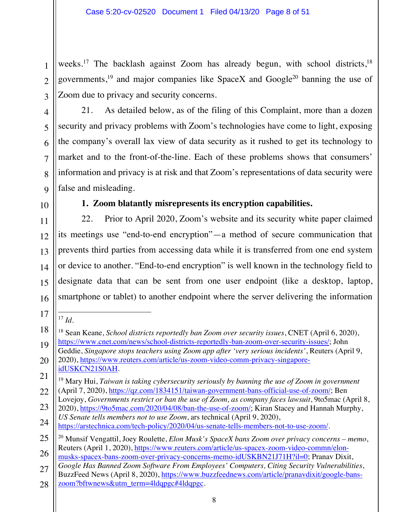weeks.<sup>17</sup> The backlash against Zoom has already begun, with school districts,<sup>18</sup> governments,<sup>19</sup> and major companies like SpaceX and Google<sup>20</sup> banning the use of Zoom due to privacy and security concerns.

security and privacy problems with Zoom's technologies have come to light, exposing

the company's overall lax view of data security as it rushed to get its technology to

21. As detailed below, as of the filing of this Complaint, more than a dozen

1 1

2 2

market and to the front-of-the-line. Each of these problems shows that consumers' information and privacy is at risk and that Zoom's representations of data security were false and misleading.

# **1. Zoom blatantly misrepresents its encryption capabilities.**

22. Prior to April 2020, Zoom's website and its security white paper claimed its meetings use "end-to-end encryption"—a method of secure communication that prevents third parties from accessing data while it is transferred from one end system or device to another. "End-to-end encryption" is well known in the technology field to designate data that can be sent from one user endpoint (like a desktop, laptop, smartphone or tablet) to another endpoint where the server delivering the information

<sup>17</sup> *Id.*

Lovejoy, *Governments restrict or ban the use of Zoom, as company faces lawsuit*, 9to5mac (April 8, 2020), https://9to5mac.com/2020/04/08/ban-the-use-of-zoom/; Kiran Stacey and Hannah Murphy,

<sup>18</sup> Sean Keane, *School districts reportedly ban Zoom over security issues*, CNET (April 6, 2020), https://www.cnet.com/news/school-districts-reportedly-ban-zoom-over-security-issues/; John

Geddie, *Singapore stops teachers using Zoom app after 'very serious incidents'*, Reuters (April 9, 2020), https://www.reuters.com/article/us-zoom-video-comm-privacy-singapore-

idUSKCN21S0AH.

<sup>19</sup> Mary Hui, *Taiwan is taking cybersecurity seriously by banning the use of Zoom in government* (April 7, 2020), https://qz.com/1834151/taiwan-government-bans-official-use-of-zoom/; Ben

<sup>24</sup> 24 *US Senate tells members not to use Zoom*, ars technical (April 9, 2020), https://arstechnica.com/tech-policy/2020/04/us-senate-tells-members-not-to-use-zoom/.

<sup>25</sup> 25 26 26 20 Munsif Vengattil, Joey Roulette, *Elon Musk's SpaceX bans Zoom over privacy concerns – memo*, Reuters (April 1, 2020), https://www.reuters.com/article/us-spacex-zoom-video-commn/elon-

musks-spacex-bans-zoom-over-privacy-concerns-memo-idUSKBN21J71H?il=0; Pranav Dixit, *Google Has Banned Zoom Software From Employees' Computers, Citing Security Vulnerabilities*,

<sup>27</sup> 27 28 28 BuzzFeed News (April 8, 2020), https://www.buzzfeednews.com/article/pranavdixit/google-banszoom?bftwnews&utm\_term=4ldqpgc#4ldqpgc.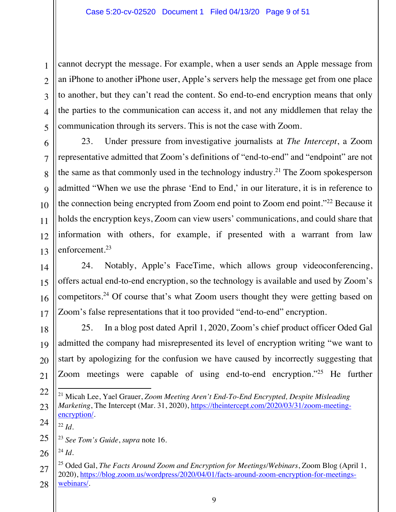cannot decrypt the message. For example, when a user sends an Apple message from an iPhone to another iPhone user, Apple's servers help the message get from one place to another, but they can't read the content. So end-to-end encryption means that only the parties to the communication can access it, and not any middlemen that relay the communication through its servers. This is not the case with Zoom.

23. Under pressure from investigative journalists at *The Intercept*, a Zoom representative admitted that Zoom's definitions of "end-to-end" and "endpoint" are not the same as that commonly used in the technology industry.21 The Zoom spokesperson admitted "When we use the phrase 'End to End,' in our literature, it is in reference to the connection being encrypted from Zoom end point to Zoom end point."22 Because it holds the encryption keys, Zoom can view users' communications, and could share that information with others, for example, if presented with a warrant from law enforcement.<sup>23</sup>

24. Notably, Apple's FaceTime, which allows group videoconferencing, offers actual end-to-end encryption, so the technology is available and used by Zoom's competitors.24 Of course that's what Zoom users thought they were getting based on Zoom's false representations that it too provided "end-to-end" encryption.

25. In a blog post dated April 1, 2020, Zoom's chief product officer Oded Gal admitted the company had misrepresented its level of encryption writing "we want to start by apologizing for the confusion we have caused by incorrectly suggesting that Zoom meetings were capable of using end-to-end encryption."25 He further

- 21 Micah Lee, Yael Grauer, *Zoom Meeting Aren't End-To-End Encrypted, Despite Misleading Marketing*, The Intercept (Mar. 31, 2020), https://theintercept.com/2020/03/31/zoom-meetingencryption/.
- $^{22}$  *Id.*

 $^{24}$  *Id*.

<sup>23</sup> *See Tom's Guide*, *supra* note 16.

<sup>28</sup> 28 25 Oded Gal, *The Facts Around Zoom and Encryption for Meetings/Webinars*, Zoom Blog (April 1, 2020), https://blog.zoom.us/wordpress/2020/04/01/facts-around-zoom-encryption-for-meetingswebinars/.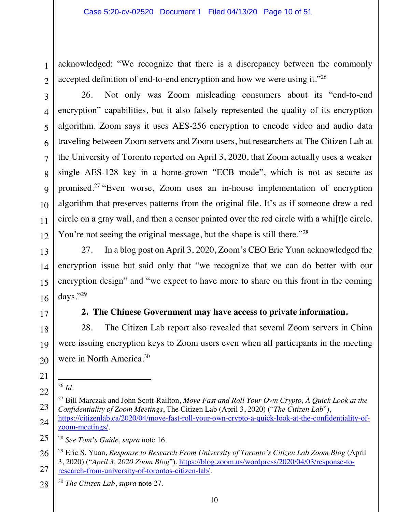acknowledged: "We recognize that there is a discrepancy between the commonly accepted definition of end-to-end encryption and how we were using it."<sup>26</sup>

4 4

5 5

6 6

7 7

8 8

9 9

10 10

11 11

12 12

13 13

14 14

15 15

18 18

19 19

20 20

1 1

26. Not only was Zoom misleading consumers about its "end-to-end encryption" capabilities, but it also falsely represented the quality of its encryption algorithm. Zoom says it uses AES-256 encryption to encode video and audio data traveling between Zoom servers and Zoom users, but researchers at The Citizen Lab at the University of Toronto reported on April 3, 2020, that Zoom actually uses a weaker single AES-128 key in a home-grown "ECB mode", which is not as secure as promised.27 "Even worse, Zoom uses an in-house implementation of encryption algorithm that preserves patterns from the original file. It's as if someone drew a red circle on a gray wall, and then a censor painted over the red circle with a whi[t]e circle. You're not seeing the original message, but the shape is still there."<sup>28</sup>

27. In a blog post on April 3, 2020, Zoom's CEO Eric Yuan acknowledged the encryption issue but said only that "we recognize that we can do better with our encryption design" and "we expect to have more to share on this front in the coming days."29

# **2. The Chinese Government may have access to private information.**

28. The Citizen Lab report also revealed that several Zoom servers in China were issuing encryption keys to Zoom users even when all participants in the meeting were in North America.30

21 21

22 22

<sup>26</sup> *Id.*

23 23 24 24 27 Bill Marczak and John Scott-Railton, *Move Fast and Roll Your Own Crypto, A Quick Look at the Confidentiality of Zoom Meetings*, The Citizen Lab (April 3, 2020) ("*The Citizen Lab*"), https://citizenlab.ca/2020/04/move-fast-roll-your-own-crypto-a-quick-look-at-the-confidentiality-ofzoom-meetings/.

25 25 <sup>28</sup> *See Tom's Guide*, *supra* note 16.

26 26 27 27 29 Eric S. Yuan, *Response to Research From University of Toronto's Citizen Lab Zoom Blog* (April 3, 2020) ("*April 3, 2020 Zoom Blog*"), https://blog.zoom.us/wordpress/2020/04/03/response-toresearch-from-university-of-torontos-citizen-lab/.

28 28 <sup>30</sup> *The Citizen Lab*, *supra* note 27.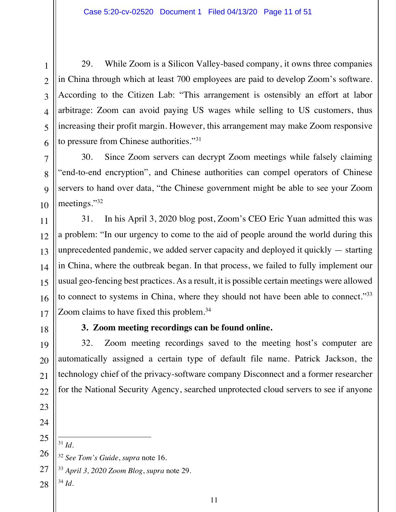29. While Zoom is a Silicon Valley-based company, it owns three companies in China through which at least 700 employees are paid to develop Zoom's software. According to the Citizen Lab: "This arrangement is ostensibly an effort at labor arbitrage: Zoom can avoid paying US wages while selling to US customers, thus increasing their profit margin. However, this arrangement may make Zoom responsive to pressure from Chinese authorities."31

30. Since Zoom servers can decrypt Zoom meetings while falsely claiming "end-to-end encryption", and Chinese authorities can compel operators of Chinese servers to hand over data, "the Chinese government might be able to see your Zoom meetings."32

31. In his April 3, 2020 blog post, Zoom's CEO Eric Yuan admitted this was a problem: "In our urgency to come to the aid of people around the world during this unprecedented pandemic, we added server capacity and deployed it quickly — starting in China, where the outbreak began. In that process, we failed to fully implement our usual geo-fencing best practices. As a result, it is possible certain meetings were allowed to connect to systems in China, where they should not have been able to connect."<sup>33</sup> Zoom claims to have fixed this problem.<sup>34</sup>

18 18

1 1

2 2

3 3

4 4

5 5

6 6

7 7

8 8

9 9

10 10

11 11

12 12

13 13

14 14

15 15

16 16

17 17

19 19

20 20

21 21

22 22

# **3. Zoom meeting recordings can be found online.**

32. Zoom meeting recordings saved to the meeting host's computer are automatically assigned a certain type of default file name. Patrick Jackson, the technology chief of the privacy-software company Disconnect and a former researcher for the National Security Agency, searched unprotected cloud servers to see if anyone

25 25

<sup>31</sup> *Id*.

26 26 <sup>32</sup> *See Tom's Guide*, *supra* note 16.

27 27 <sup>33</sup> *April 3, 2020 Zoom Blog*, *supra* note 29.

28 28 <sup>34</sup> *Id.*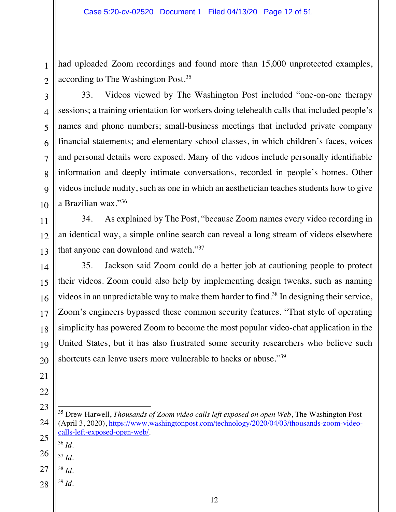had uploaded Zoom recordings and found more than 15,000 unprotected examples, according to The Washington Post.35

2 2

3 3

4 4

5 5

6 6

7 7

8 8

9 9

10 10

11 11

12 12

13 13

14 14

15 15

16 16

17 17

18 18

19 19

20 20

21 21

22 22

1 1

33. Videos viewed by The Washington Post included "one-on-one therapy sessions; a training orientation for workers doing telehealth calls that included people's names and phone numbers; small-business meetings that included private company financial statements; and elementary school classes, in which children's faces, voices and personal details were exposed. Many of the videos include personally identifiable information and deeply intimate conversations, recorded in people's homes. Other videos include nudity, such as one in which an aesthetician teaches students how to give a Brazilian wax."36

34. As explained by The Post, "because Zoom names every video recording in an identical way, a simple online search can reveal a long stream of videos elsewhere that anyone can download and watch."37

35. Jackson said Zoom could do a better job at cautioning people to protect their videos. Zoom could also help by implementing design tweaks, such as naming videos in an unpredictable way to make them harder to find.<sup>38</sup> In designing their service, Zoom's engineers bypassed these common security features. "That style of operating simplicity has powered Zoom to become the most popular video-chat application in the United States, but it has also frustrated some security researchers who believe such shortcuts can leave users more vulnerable to hacks or abuse."39

23 23 24 24 35 Drew Harwell, *Thousands of Zoom video calls left exposed on open Web*, The Washington Post (April 3, 2020), https://www.washingtonpost.com/technology/2020/04/03/thousands-zoom-videocalls-left-exposed-open-web/*.*

25 25  $36$  *Id.* 

26 26  $37$  *Id.* 

- 27 27 <sup>38</sup> *Id.*
- 28 28 <sup>39</sup> *Id.*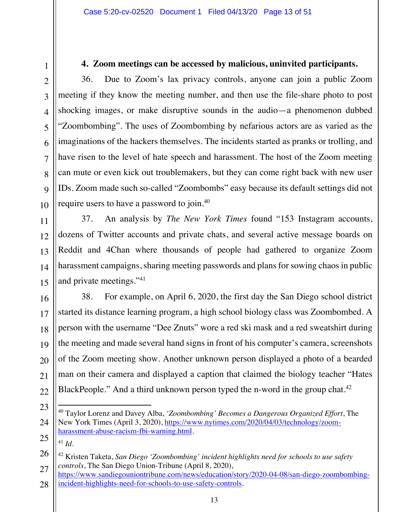#### **4. Zoom meetings can be accessed by malicious, uninvited participants.**

36. Due to Zoom's lax privacy controls, anyone can join a public Zoom meeting if they know the meeting number, and then use the file-share photo to post shocking images, or make disruptive sounds in the audio—a phenomenon dubbed "Zoombombing". The uses of Zoombombing by nefarious actors are as varied as the imaginations of the hackers themselves. The incidents started as pranks or trolling, and have risen to the level of hate speech and harassment. The host of the Zoom meeting can mute or even kick out troublemakers, but they can come right back with new user IDs. Zoom made such so-called "Zoombombs" easy because its default settings did not require users to have a password to join.40

37. An analysis by *The New York Times* found "153 Instagram accounts, dozens of Twitter accounts and private chats, and several active message boards on Reddit and 4Chan where thousands of people had gathered to organize Zoom harassment campaigns, sharing meeting passwords and plans for sowing chaos in public and private meetings."41

38. For example, on April 6, 2020, the first day the San Diego school district started its distance learning program, a high school biology class was Zoombombed. A person with the username "Dee Znuts" wore a red ski mask and a red sweatshirt during the meeting and made several hand signs in front of his computer's camera, screenshots of the Zoom meeting show. Another unknown person displayed a photo of a bearded man on their camera and displayed a caption that claimed the biology teacher "Hates BlackPeople." And a third unknown person typed the n-word in the group chat.<sup>42</sup>

<sup>40</sup> Taylor Lorenz and Davey Alba, *'Zoombombing' Becomes a Dangerous Organized Effort*, The New York Times (April 3, 2020), https://www.nytimes.com/2020/04/03/technology/zoomharassment-abuse-racism-fbi-warning.html*.*

 $41$  *Id.* 

<sup>42</sup> Kristen Taketa, *San Diego 'Zoombombing' incident highlights need for schools to use safety controls*, The San Diego Union-Tribune (April 8, 2020),

<sup>28</sup> 28 https://www.sandiegouniontribune.com/news/education/story/2020-04-08/san-diego-zoombombingincident-highlights-need-for-schools-to-use-safety-controls*.*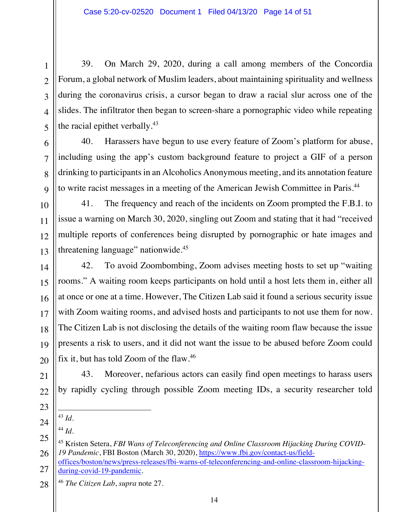39. On March 29, 2020, during a call among members of the Concordia Forum, a global network of Muslim leaders, about maintaining spirituality and wellness during the coronavirus crisis, a cursor began to draw a racial slur across one of the slides. The infiltrator then began to screen-share a pornographic video while repeating the racial epithet verbally. $43$ 

40. Harassers have begun to use every feature of Zoom's platform for abuse, including using the app's custom background feature to project a GIF of a person drinking to participants in an Alcoholics Anonymous meeting, and its annotation feature to write racist messages in a meeting of the American Jewish Committee in Paris.44

41. The frequency and reach of the incidents on Zoom prompted the F.B.I. to issue a warning on March 30, 2020, singling out Zoom and stating that it had "received multiple reports of conferences being disrupted by pornographic or hate images and threatening language" nationwide.<sup>45</sup>

42. To avoid Zoombombing, Zoom advises meeting hosts to set up "waiting rooms." A waiting room keeps participants on hold until a host lets them in, either all at once or one at a time. However, The Citizen Lab said it found a serious security issue with Zoom waiting rooms, and advised hosts and participants to not use them for now. The Citizen Lab is not disclosing the details of the waiting room flaw because the issue presents a risk to users, and it did not want the issue to be abused before Zoom could fix it, but has told Zoom of the flaw.46

43. Moreover, nefarious actors can easily find open meetings to harass users by rapidly cycling through possible Zoom meeting IDs, a security researcher told

- 
- - <sup>44</sup> *Id.*

<sup>43</sup> *Id*.

- 27 27 offices/boston/news/press-releases/fbi-warns-of-teleconferencing-and-online-classroom-hijackingduring-covid-19-pandemic*.*
- 28 28 <sup>46</sup> *The Citizen Lab*, *supra* note 27.

1 1

2 2

<sup>45</sup> Kristen Setera, *FBI Wans of Teleconferencing and Online Classroom Hijacking During COVID-19 Pandemic*, FBI Boston (March 30, 2020), https://www.fbi.gov/contact-us/field-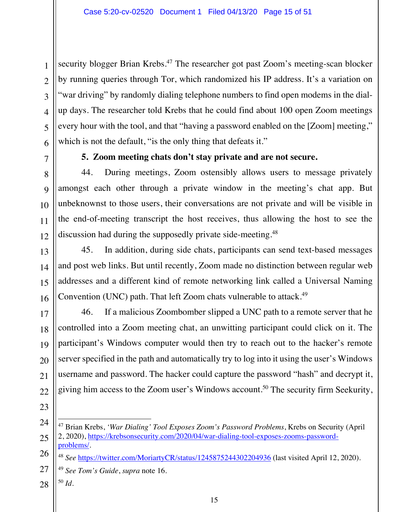security blogger Brian Krebs.<sup>47</sup> The researcher got past Zoom's meeting-scan blocker by running queries through Tor, which randomized his IP address. It's a variation on "war driving" by randomly dialing telephone numbers to find open modems in the dialup days. The researcher told Krebs that he could find about 100 open Zoom meetings every hour with the tool, and that "having a password enabled on the [Zoom] meeting," which is not the default, "is the only thing that defeats it."

1 1

2 2

3 3

4 4

5 5

6 6

7 7

8 8

9 9

10 10

11 11

12 12

13 13

14 14

15 15

16 16

17 17

18 18

19 19

20 20

21 21

22 22

# **5. Zoom meeting chats don't stay private and are not secure.**

44. During meetings, Zoom ostensibly allows users to message privately amongst each other through a private window in the meeting's chat app. But unbeknownst to those users, their conversations are not private and will be visible in the end-of-meeting transcript the host receives, thus allowing the host to see the discussion had during the supposedly private side-meeting.<sup>48</sup>

45. In addition, during side chats, participants can send text-based messages and post web links. But until recently, Zoom made no distinction between regular web addresses and a different kind of remote networking link called a Universal Naming Convention (UNC) path. That left Zoom chats vulnerable to attack.<sup>49</sup>

46. If a malicious Zoombomber slipped a UNC path to a remote server that he controlled into a Zoom meeting chat, an unwitting participant could click on it. The participant's Windows computer would then try to reach out to the hacker's remote server specified in the path and automatically try to log into it using the user's Windows username and password. The hacker could capture the password "hash" and decrypt it, giving him access to the Zoom user's Windows account.<sup>50</sup> The security firm Seekurity,

23 23

- <sup>49</sup> *See Tom's Guide*, *supra* note 16.
- 28 28 <sup>50</sup> *Id*.

<sup>24</sup> 24 25 25 47 Brian Krebs, *'War Dialing' Tool Exposes Zoom's Password Problems*, Krebs on Security (April 2, 2020), https://krebsonsecurity.com/2020/04/war-dialing-tool-exposes-zooms-passwordproblems/.

<sup>26</sup> 26 <sup>48</sup> *See* https://twitter.com/MoriartyCR/status/1245875244302204936 (last visited April 12, 2020).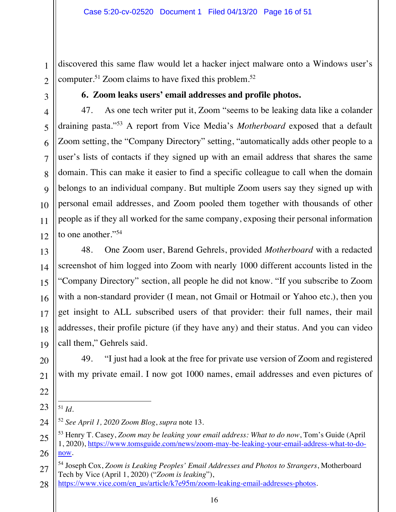discovered this same flaw would let a hacker inject malware onto a Windows user's computer.<sup>51</sup> Zoom claims to have fixed this problem.<sup>52</sup>

3 3

1 1

2 2

# **6. Zoom leaks users' email addresses and profile photos.**

47. As one tech writer put it, Zoom "seems to be leaking data like a colander draining pasta."53 A report from Vice Media's *Motherboard* exposed that a default Zoom setting, the "Company Directory" setting, "automatically adds other people to a user's lists of contacts if they signed up with an email address that shares the same domain. This can make it easier to find a specific colleague to call when the domain belongs to an individual company. But multiple Zoom users say they signed up with personal email addresses, and Zoom pooled them together with thousands of other people as if they all worked for the same company, exposing their personal information to one another."<sup>54</sup>

48. One Zoom user, Barend Gehrels, provided *Motherboard* with a redacted screenshot of him logged into Zoom with nearly 1000 different accounts listed in the "Company Directory" section, all people he did not know. "If you subscribe to Zoom with a non-standard provider (I mean, not Gmail or Hotmail or Yahoo etc.), then you get insight to ALL subscribed users of that provider: their full names, their mail addresses, their profile picture (if they have any) and their status. And you can video call them," Gehrels said.

49. "I just had a look at the free for private use version of Zoom and registered with my private email. I now got 1000 names, email addresses and even pictures of

<sup>51</sup> *Id.*

<sup>52</sup> *See April 1, 2020 Zoom Blog*, *supra* note 13.

<sup>53</sup> Henry T. Casey, *Zoom may be leaking your email address: What to do now*, Tom's Guide (April 1, 2020), https://www.tomsguide.com/news/zoom-may-be-leaking-your-email-address-what-to-donow.

<sup>27</sup> 27 54 Joseph Cox, *Zoom is Leaking Peoples' Email Addresses and Photos to Strangers*, Motherboard Tech by Vice (April 1, 2020) ("*Zoom is leaking*"),

<sup>28</sup> 28 https://www.vice.com/en\_us/article/k7e95m/zoom-leaking-email-addresses-photos.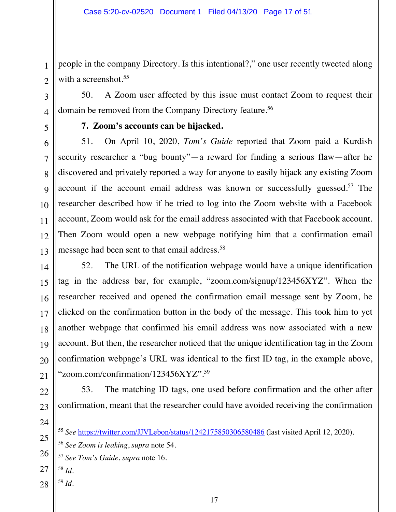people in the company Directory. Is this intentional?," one user recently tweeted along with a screenshot.<sup>55</sup>

50. A Zoom user affected by this issue must contact Zoom to request their domain be removed from the Company Directory feature.<sup>56</sup>

1 1

2 2

3 3

4 4

5 5

6 6

7 7

8 8

9 9

10 10

11 11

12 12

13 13

14 14

15 15

16 16

17 17

18 18

19 19

20 20

21 21

# **7. Zoom's accounts can be hijacked.**

51. On April 10, 2020, *Tom's Guide* reported that Zoom paid a Kurdish security researcher a "bug bounty"—a reward for finding a serious flaw—after he discovered and privately reported a way for anyone to easily hijack any existing Zoom account if the account email address was known or successfully guessed.<sup>57</sup> The researcher described how if he tried to log into the Zoom website with a Facebook account, Zoom would ask for the email address associated with that Facebook account. Then Zoom would open a new webpage notifying him that a confirmation email message had been sent to that email address.<sup>58</sup>

52. The URL of the notification webpage would have a unique identification tag in the address bar, for example, "zoom.com/signup/123456XYZ". When the researcher received and opened the confirmation email message sent by Zoom, he clicked on the confirmation button in the body of the message. This took him to yet another webpage that confirmed his email address was now associated with a new account. But then, the researcher noticed that the unique identification tag in the Zoom confirmation webpage's URL was identical to the first ID tag, in the example above, "zoom.com/confirmation/123456XYZ".59

53. The matching ID tags, one used before confirmation and the other after confirmation, meant that the researcher could have avoided receiving the confirmation

24 24

25 25

26 26

<sup>57</sup> *See Tom's Guide*, *supra* note 16.

- 27 27 <sup>58</sup> *Id.*
- 28 28 <sup>59</sup> *Id.*

<sup>55</sup> *See* https://twitter.com/JJVLebon/status/1242175850306580486 (last visited April 12, 2020).

<sup>56</sup> *See Zoom is leaking*, *supra* note 54.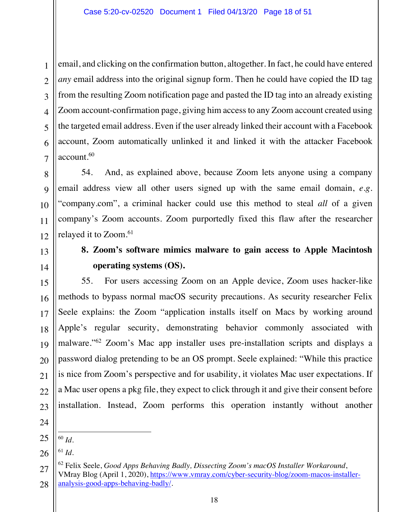email, and clicking on the confirmation button, altogether. In fact, he could have entered *any* email address into the original signup form. Then he could have copied the ID tag from the resulting Zoom notification page and pasted the ID tag into an already existing Zoom account-confirmation page, giving him access to any Zoom account created using the targeted email address. Even if the user already linked their account with a Facebook account, Zoom automatically unlinked it and linked it with the attacker Facebook account.<sup>60</sup>

54. And, as explained above, because Zoom lets anyone using a company email address view all other users signed up with the same email domain, *e.g*. "company.com", a criminal hacker could use this method to steal *all* of a given company's Zoom accounts. Zoom purportedly fixed this flaw after the researcher relayed it to Zoom.<sup>61</sup>

# **8. Zoom's software mimics malware to gain access to Apple Macintosh operating systems (OS).**

55. For users accessing Zoom on an Apple device, Zoom uses hacker-like methods to bypass normal macOS security precautions. As security researcher Felix Seele explains: the Zoom "application installs itself on Macs by working around Apple's regular security, demonstrating behavior commonly associated with malware."62 Zoom's Mac app installer uses pre-installation scripts and displays a password dialog pretending to be an OS prompt. Seele explained: "While this practice is nice from Zoom's perspective and for usability, it violates Mac user expectations. If a Mac user opens a pkg file, they expect to click through it and give their consent before installation. Instead, Zoom performs this operation instantly without another

 $^{61}$  *Id.* 

<sup>60</sup> *Id.*

<sup>28</sup> 28 62 Felix Seele, *Good Apps Behaving Badly, Dissecting Zoom's macOS Installer Workaround*, VMray Blog (April 1, 2020), https://www.vmray.com/cyber-security-blog/zoom-macos-installeranalysis-good-apps-behaving-badly/*.*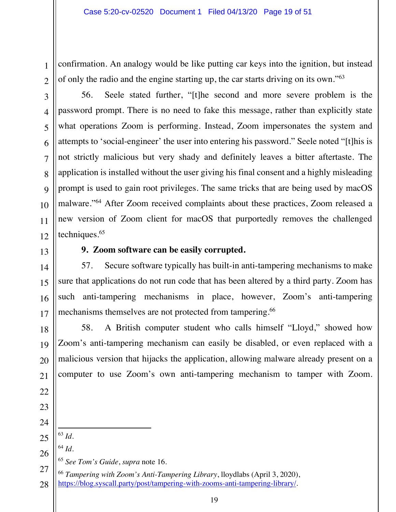confirmation. An analogy would be like putting car keys into the ignition, but instead of only the radio and the engine starting up, the car starts driving on its own."63

56. Seele stated further, "[t]he second and more severe problem is the password prompt. There is no need to fake this message, rather than explicitly state what operations Zoom is performing. Instead, Zoom impersonates the system and attempts to 'social-engineer' the user into entering his password." Seele noted "[t]his is not strictly malicious but very shady and definitely leaves a bitter aftertaste. The application is installed without the user giving his final consent and a highly misleading prompt is used to gain root privileges. The same tricks that are being used by macOS malware."64 After Zoom received complaints about these practices, Zoom released a new version of Zoom client for macOS that purportedly removes the challenged techniques.65

1 1

2 2

3 3

4 4

5 5

6 6

7 7

8 8

9 9

10 10

11 11

12 12

13 13

14 14

15 15

16 16

17 17

18 18

19 19

20 20

21 21

# **9. Zoom software can be easily corrupted.**

57. Secure software typically has built-in anti-tampering mechanisms to make sure that applications do not run code that has been altered by a third party. Zoom has such anti-tampering mechanisms in place, however, Zoom's anti-tampering mechanisms themselves are not protected from tampering.<sup>66</sup>

58. A British computer student who calls himself "Lloyd," showed how Zoom's anti-tampering mechanism can easily be disabled, or even replaced with a malicious version that hijacks the application, allowing malware already present on a computer to use Zoom's own anti-tampering mechanism to tamper with Zoom.

- 22 22 23 23 24 24 25 25
- 26 26 <sup>64</sup> *Id.*

<sup>63</sup> *Id.* 

<sup>65</sup> *See Tom's Guide*, *supra* note 16.

27 27 28 28 <sup>66</sup> *Tampering with Zoom's Anti-Tampering Library*, lloydlabs (April 3, 2020), https://blog.syscall.party/post/tampering-with-zooms-anti-tampering-library/*.*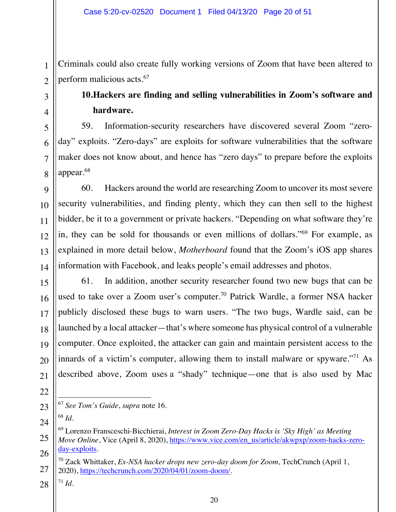Criminals could also create fully working versions of Zoom that have been altered to perform malicious acts.<sup>67</sup>

# **10.Hackers are finding and selling vulnerabilities in Zoom's software and hardware.**

59. Information-security researchers have discovered several Zoom "zeroday" exploits. "Zero-days" are exploits for software vulnerabilities that the software maker does not know about, and hence has "zero days" to prepare before the exploits appear.68

60. Hackers around the world are researching Zoom to uncover its most severe security vulnerabilities, and finding plenty, which they can then sell to the highest bidder, be it to a government or private hackers. "Depending on what software they're in, they can be sold for thousands or even millions of dollars."69 For example, as explained in more detail below, *Motherboard* found that the Zoom's iOS app shares information with Facebook, and leaks people's email addresses and photos.

61. In addition, another security researcher found two new bugs that can be used to take over a Zoom user's computer.<sup>70</sup> Patrick Wardle, a former NSA hacker publicly disclosed these bugs to warn users. "The two bugs, Wardle said, can be launched by a local attacker—that's where someone has physical control of a vulnerable computer. Once exploited, the attacker can gain and maintain persistent access to the innards of a victim's computer, allowing them to install malware or spyware."<sup>71</sup> As described above, Zoom uses a "shady" technique—one that is also used by Mac

- <sup>67</sup> *See Tom's Guide*, *supra* note 16.
	- <sup>68</sup> *Id.*

 $71 \, Id.$ 

<sup>69</sup> Lorenzo Fransceschi-Bicchierai, *Interest in Zoom Zero-Day Hacks is 'Sky High' as Meeting Move Online*, Vice (April 8, 2020), https://www.vice.com/en\_us/article/akwpxp/zoom-hacks-zeroday-exploits.

<sup>70</sup> Zack Whittaker, *Ex-NSA hacker drops new zero-day doom for Zoom*, TechCrunch (April 1, 2020), https://techcrunch.com/2020/04/01/zoom-doom/.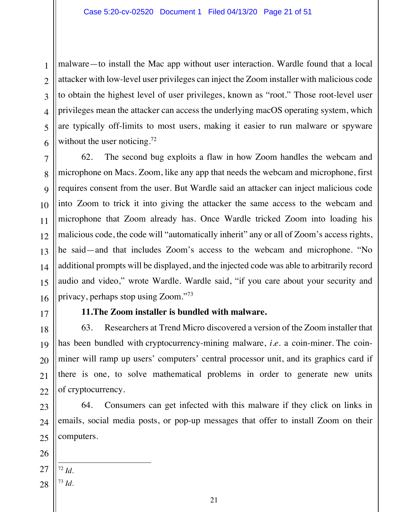malware—to install the Mac app without user interaction. Wardle found that a local attacker with low-level user privileges can inject the Zoom installer with malicious code to obtain the highest level of user privileges, known as "root." Those root-level user privileges mean the attacker can access the underlying macOS operating system, which are typically off-limits to most users, making it easier to run malware or spyware without the user noticing.<sup>72</sup>

62. The second bug exploits a flaw in how Zoom handles the webcam and microphone on Macs. Zoom, like any app that needs the webcam and microphone, first requires consent from the user. But Wardle said an attacker can inject malicious code into Zoom to trick it into giving the attacker the same access to the webcam and microphone that Zoom already has. Once Wardle tricked Zoom into loading his malicious code, the code will "automatically inherit" any or all of Zoom's access rights, he said—and that includes Zoom's access to the webcam and microphone. "No additional prompts will be displayed, and the injected code was able to arbitrarily record audio and video," wrote Wardle. Wardle said, "if you care about your security and privacy, perhaps stop using Zoom."73

17 17

1 1

2 2

3 3

4 4

5 5

6 6

7 7

8 8

9 9

10 10

11 11

12 12

13 13

14 14

15 15

16 16

18 18

19 19

20 20

21 21

22 22

23 23

24 24

25 25

# **11.The Zoom installer is bundled with malware.**

63. Researchers at Trend Micro discovered a version of the Zoom installer that has been bundled with cryptocurrency-mining malware, *i.e*. a coin-miner. The coinminer will ramp up users' computers' central processor unit, and its graphics card if there is one, to solve mathematical problems in order to generate new units of cryptocurrency.

64. Consumers can get infected with this malware if they click on links in emails, social media posts, or pop-up messages that offer to install Zoom on their computers.

26 26

27 27 <sup>72</sup> *Id.* 

28 28 <sup>73</sup> *Id.*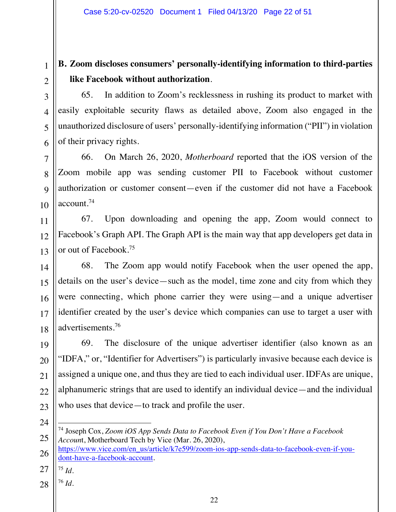# **B. Zoom discloses consumers' personally-identifying information to third-parties like Facebook without authorization**.

65. In addition to Zoom's recklessness in rushing its product to market with easily exploitable security flaws as detailed above, Zoom also engaged in the unauthorized disclosure of users' personally-identifying information ("PII") in violation of their privacy rights.

66. On March 26, 2020, *Motherboard* reported that the iOS version of the Zoom mobile app was sending customer PII to Facebook without customer authorization or customer consent—even if the customer did not have a Facebook account.74

67. Upon downloading and opening the app, Zoom would connect to Facebook's Graph API. The Graph API is the main way that app developers get data in or out of Facebook.75

68. The Zoom app would notify Facebook when the user opened the app, details on the user's device—such as the model, time zone and city from which they were connecting, which phone carrier they were using—and a unique advertiser identifier created by the user's device which companies can use to target a user with advertisements.76

69. The disclosure of the unique advertiser identifier (also known as an "IDFA," or, "Identifier for Advertisers") is particularly invasive because each device is assigned a unique one, and thus they are tied to each individual user. IDFAs are unique, alphanumeric strings that are used to identify an individual device—and the individual who uses that device—to track and profile the user.

- https://www.vice.com/en\_us/article/k7e599/zoom-ios-app-sends-data-to-facebook-even-if-youdont-have-a-facebook-account*.*
- $^{75}$  *Id.*
- 28 28 <sup>76</sup> *Id.*

1 1

2 2

<sup>74</sup> Joseph Cox, *Zoom iOS App Sends Data to Facebook Even if You Don't Have a Facebook Accoun*t, Motherboard Tech by Vice (Mar. 26, 2020),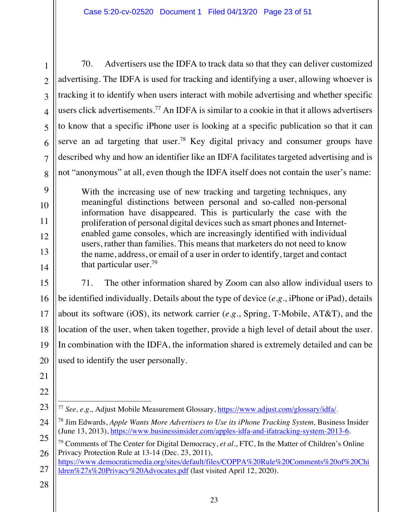7 7

8 8

9 9

10 10

11 11

12 12

13 13

14 14

15 15

16 16

17 17

18 18

19 19

20 20

21 21

22 22

70. Advertisers use the IDFA to track data so that they can deliver customized advertising. The IDFA is used for tracking and identifying a user, allowing whoever is tracking it to identify when users interact with mobile advertising and whether specific users click advertisements.<sup>77</sup> An IDFA is similar to a cookie in that it allows advertisers to know that a specific iPhone user is looking at a specific publication so that it can serve an ad targeting that user.<sup>78</sup> Key digital privacy and consumer groups have described why and how an identifier like an IDFA facilitates targeted advertising and is not "anonymous" at all, even though the IDFA itself does not contain the user's name:

With the increasing use of new tracking and targeting techniques, any meaningful distinctions between personal and so-called non-personal information have disappeared. This is particularly the case with the proliferation of personal digital devices such as smart phones and Internetenabled game consoles, which are increasingly identified with individual users, rather than families. This means that marketers do not need to know the name, address, or email of a user in order to identify, target and contact that particular user.79

71. The other information shared by Zoom can also allow individual users to be identified individually. Details about the type of device (*e.g*., iPhone or iPad), details about its software (iOS), its network carrier (*e.g*., Spring, T-Mobile, AT&T), and the location of the user, when taken together, provide a high level of detail about the user. In combination with the IDFA, the information shared is extremely detailed and can be used to identify the user personally.

23 23 <sup>77</sup> *See, e.g.,* Adjust Mobile Measurement Glossary, https://www.adjust.com/glossary/idfa/.

25 25 26 26 79 Comments of The Center for Digital Democracy, *et al*., FTC, In the Matter of Children's Online Privacy Protection Rule at 13-14 (Dec. 23, 2011),

- 27 27 https://www.democraticmedia.org/sites/default/files/COPPA%20Rule%20Comments%20of%20Chi ldren%27s%20Privacy%20Advocates.pdf (last visited April 12, 2020).
- 28 28

<sup>24</sup> 24 <sup>78</sup> Jim Edwards, *Apple Wants More Advertisers to Use its iPhone Tracking System, Business Insider* (June 13, 2013), https://www.businessinsider.com/apples-idfa-and-ifatracking-system-2013-6.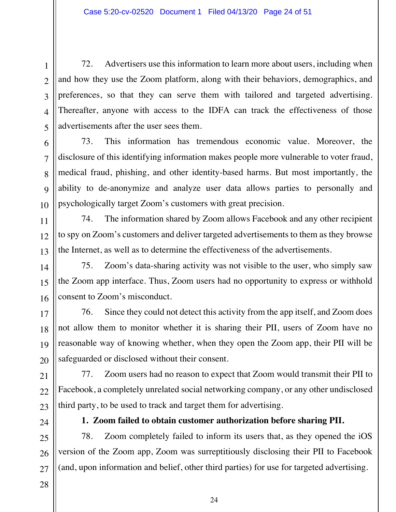72. Advertisers use this information to learn more about users, including when and how they use the Zoom platform, along with their behaviors, demographics, and preferences, so that they can serve them with tailored and targeted advertising. Thereafter, anyone with access to the IDFA can track the effectiveness of those advertisements after the user sees them.

73. This information has tremendous economic value. Moreover, the disclosure of this identifying information makes people more vulnerable to voter fraud, medical fraud, phishing, and other identity-based harms. But most importantly, the ability to de-anonymize and analyze user data allows parties to personally and psychologically target Zoom's customers with great precision.

74. The information shared by Zoom allows Facebook and any other recipient to spy on Zoom's customers and deliver targeted advertisements to them as they browse the Internet, as well as to determine the effectiveness of the advertisements.

75. Zoom's data-sharing activity was not visible to the user, who simply saw the Zoom app interface. Thus, Zoom users had no opportunity to express or withhold consent to Zoom's misconduct.

76. Since they could not detect this activity from the app itself, and Zoom does not allow them to monitor whether it is sharing their PII, users of Zoom have no reasonable way of knowing whether, when they open the Zoom app, their PII will be safeguarded or disclosed without their consent.

77. Zoom users had no reason to expect that Zoom would transmit their PII to Facebook, a completely unrelated social networking company, or any other undisclosed third party, to be used to track and target them for advertising.

**1. Zoom failed to obtain customer authorization before sharing PII.** 

78. Zoom completely failed to inform its users that, as they opened the iOS version of the Zoom app, Zoom was surreptitiously disclosing their PII to Facebook (and, upon information and belief, other third parties) for use for targeted advertising.

1 1

2 2

3 3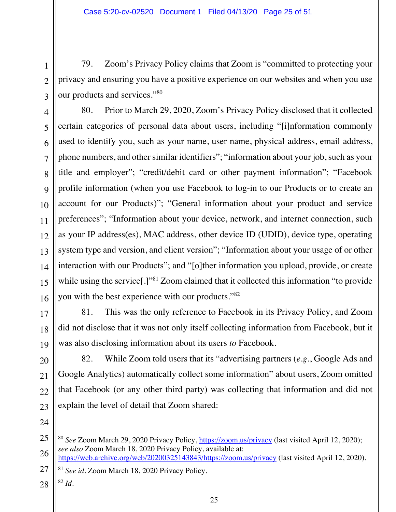79. Zoom's Privacy Policy claims that Zoom is "committed to protecting your privacy and ensuring you have a positive experience on our websites and when you use our products and services."80

80. Prior to March 29, 2020, Zoom's Privacy Policy disclosed that it collected certain categories of personal data about users, including "[i]nformation commonly used to identify you, such as your name, user name, physical address, email address, phone numbers, and other similar identifiers"; "information about your job, such as your title and employer"; "credit/debit card or other payment information"; "Facebook profile information (when you use Facebook to log-in to our Products or to create an account for our Products)"; "General information about your product and service preferences"; "Information about your device, network, and internet connection, such as your IP address(es), MAC address, other device ID (UDID), device type, operating system type and version, and client version"; "Information about your usage of or other interaction with our Products"; and "[o]ther information you upload, provide, or create while using the service<sup>[1]"81</sup> Zoom claimed that it collected this information "to provide" you with the best experience with our products."82

81. This was the only reference to Facebook in its Privacy Policy, and Zoom did not disclose that it was not only itself collecting information from Facebook, but it was also disclosing information about its users *to* Facebook.

82. While Zoom told users that its "advertising partners (*e.g*., Google Ads and Google Analytics) automatically collect some information" about users, Zoom omitted that Facebook (or any other third party) was collecting that information and did not explain the level of detail that Zoom shared:

1 1

2 2

3 3

4 4

5 5

6 6

7 7

8 8

9 9

10 10

11 11

12 12

13 13

14 14

15 15

16 16

17 17

18 18

19 19

20 20

21 21

22 22

26 26 27 27 https://web.archive.org/web/20200325143843/https://zoom.us/privacy (last visited April 12, 2020).

<sup>81</sup> *See id*. Zoom March 18, 2020 Privacy Policy.

28 28 <sup>82</sup> *Id.*

<sup>25</sup> 25 <sup>80</sup> *See* Zoom March 29, 2020 Privacy Policy, https://zoom.us/privacy (last visited April 12, 2020); *see also* Zoom March 18, 2020 Privacy Policy, available at: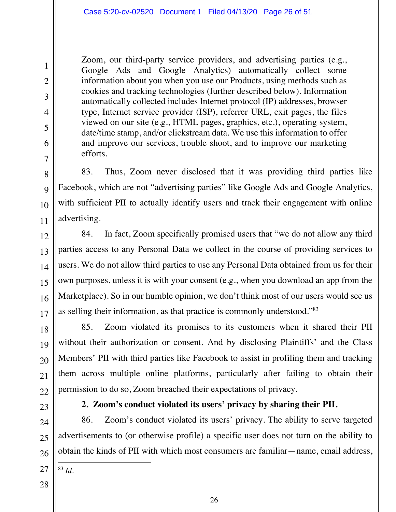Zoom, our third-party service providers, and advertising parties (e.g., Google Ads and Google Analytics) automatically collect some information about you when you use our Products, using methods such as cookies and tracking technologies (further described below). Information automatically collected includes Internet protocol (IP) addresses, browser type, Internet service provider (ISP), referrer URL, exit pages, the files viewed on our site (e.g., HTML pages, graphics, etc.), operating system, date/time stamp, and/or clickstream data. We use this information to offer and improve our services, trouble shoot, and to improve our marketing efforts.

83. Thus, Zoom never disclosed that it was providing third parties like Facebook, which are not "advertising parties" like Google Ads and Google Analytics, with sufficient PII to actually identify users and track their engagement with online advertising.

84. In fact, Zoom specifically promised users that "we do not allow any third parties access to any Personal Data we collect in the course of providing services to users. We do not allow third parties to use any Personal Data obtained from us for their own purposes, unless it is with your consent (e.g., when you download an app from the Marketplace). So in our humble opinion, we don't think most of our users would see us as selling their information, as that practice is commonly understood."83

85. Zoom violated its promises to its customers when it shared their PII without their authorization or consent. And by disclosing Plaintiffs' and the Class Members' PII with third parties like Facebook to assist in profiling them and tracking them across multiple online platforms, particularly after failing to obtain their permission to do so, Zoom breached their expectations of privacy.

# **2. Zoom's conduct violated its users' privacy by sharing their PII.**

86. Zoom's conduct violated its users' privacy. The ability to serve targeted advertisements to (or otherwise profile) a specific user does not turn on the ability to obtain the kinds of PII with which most consumers are familiar—name, email address,

- <sup>83</sup> *Id.*
- 28 28

1 1

2 2

3 3

4 4

5 5

6 6

7 7

8 8

9 9

10 10

11 11

12 12

13 13

14 14

15 15

16 16

17 17

18 18

19 19

20 20

21 21

22 22

23 23

24 24

25 25

26 26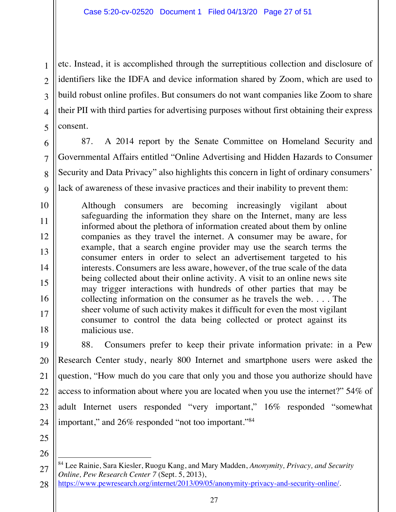etc. Instead, it is accomplished through the surreptitious collection and disclosure of identifiers like the IDFA and device information shared by Zoom, which are used to build robust online profiles. But consumers do not want companies like Zoom to share their PII with third parties for advertising purposes without first obtaining their express consent.

87. A 2014 report by the Senate Committee on Homeland Security and

Governmental Affairs entitled "Online Advertising and Hidden Hazards to Consumer

Security and Data Privacy" also highlights this concern in light of ordinary consumers'

Although consumers are becoming increasingly vigilant about safeguarding the information they share on the Internet, many are less informed about the plethora of information created about them by online companies as they travel the internet. A consumer may be aware, for example, that a search engine provider may use the search terms the consumer enters in order to select an advertisement targeted to his interests. Consumers are less aware, however, of the true scale of the data being collected about their online activity. A visit to an online news site may trigger interactions with hundreds of other parties that may be collecting information on the consumer as he travels the web. . . . The sheer volume of such activity makes it difficult for even the most vigilant consumer to control the data being collected or protect against its

88. Consumers prefer to keep their private information private: in a Pew

Research Center study, nearly 800 Internet and smartphone users were asked the

question, "How much do you care that only you and those you authorize should have

access to information about where you are located when you use the internet?" 54% of

adult Internet users responded "very important," 16% responded "somewhat

lack of awareness of these invasive practices and their inability to prevent them:

malicious use.

1 1

2 2

3 3

25 25

26 26

https://www.pewresearch.org/internet/2013/09/05/anonymity-privacy-and-security-online/.

important," and 26% responded "not too important."84

<sup>27</sup> 27 28 28 84 Lee Rainie, Sara Kiesler, Ruogu Kang, and Mary Madden, *Anonymity, Privacy, and Security Online, Pew Research Center 7* (Sept. 5, 2013),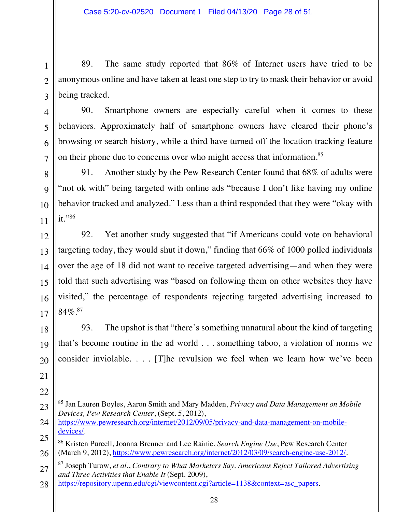89. The same study reported that 86% of Internet users have tried to be anonymous online and have taken at least one step to try to mask their behavior or avoid being tracked.

4 4

1 1

2 2

3 3

5 5

6 6

7 7

8 8

9 9

10 10

11 11

12 12

13 13

14 14

15 15

16 16

17 17

18 18

19 19

20 20

21 21

22 22

90. Smartphone owners are especially careful when it comes to these behaviors. Approximately half of smartphone owners have cleared their phone's browsing or search history, while a third have turned off the location tracking feature on their phone due to concerns over who might access that information.<sup>85</sup>

91. Another study by the Pew Research Center found that 68% of adults were "not ok with" being targeted with online ads "because I don't like having my online behavior tracked and analyzed." Less than a third responded that they were "okay with it."86

92. Yet another study suggested that "if Americans could vote on behavioral targeting today, they would shut it down," finding that 66% of 1000 polled individuals over the age of 18 did not want to receive targeted advertising—and when they were told that such advertising was "based on following them on other websites they have visited," the percentage of respondents rejecting targeted advertising increased to  $84\%$ <sup>87</sup>

93. The upshot is that "there's something unnatural about the kind of targeting that's become routine in the ad world . . . something taboo, a violation of norms we consider inviolable. . . . [T]he revulsion we feel when we learn how we've been

<sup>23</sup> 23 85 Jan Lauren Boyles, Aaron Smith and Mary Madden, *Privacy and Data Management on Mobile Devices, Pew Research Center*, (Sept. 5, 2012),

<sup>24</sup> 24 https://www.pewresearch.org/internet/2012/09/05/privacy-and-data-management-on-mobiledevices/.

<sup>25</sup> 25 26 26 86 Kristen Purcell, Joanna Brenner and Lee Rainie, *Search Engine Use*, Pew Research Center (March 9, 2012), https://www.pewresearch.org/internet/2012/03/09/search-engine-use-2012/.

<sup>27</sup> 27 87 Joseph Turow, *et al*., *Contrary to What Marketers Say, Americans Reject Tailored Advertising and Three Activities that Enable It* (Sept. 2009),

<sup>28</sup> 28 https://repository.upenn.edu/cgi/viewcontent.cgi?article=1138&context=asc\_papers.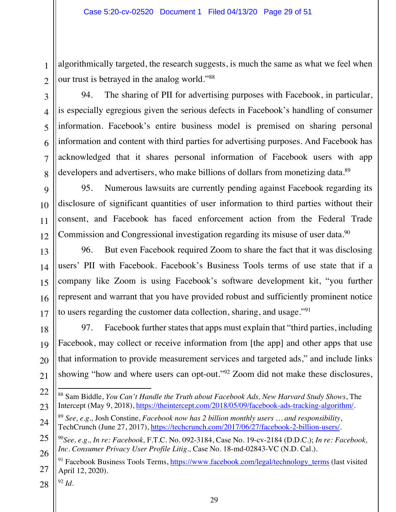algorithmically targeted, the research suggests, is much the same as what we feel when our trust is betrayed in the analog world."88

94. The sharing of PII for advertising purposes with Facebook, in particular, is especially egregious given the serious defects in Facebook's handling of consumer information. Facebook's entire business model is premised on sharing personal information and content with third parties for advertising purposes. And Facebook has acknowledged that it shares personal information of Facebook users with app developers and advertisers, who make billions of dollars from monetizing data.<sup>89</sup>

95. Numerous lawsuits are currently pending against Facebook regarding its disclosure of significant quantities of user information to third parties without their consent, and Facebook has faced enforcement action from the Federal Trade Commission and Congressional investigation regarding its misuse of user data.<sup>90</sup>

96. But even Facebook required Zoom to share the fact that it was disclosing users' PII with Facebook. Facebook's Business Tools terms of use state that if a company like Zoom is using Facebook's software development kit, "you further represent and warrant that you have provided robust and sufficiently prominent notice to users regarding the customer data collection, sharing, and usage."91

97. Facebook further states that apps must explain that "third parties, including Facebook, may collect or receive information from [the app] and other apps that use that information to provide measurement services and targeted ads," and include links showing "how and where users can opt-out."<sup>92</sup> Zoom did not make these disclosures,

28 28 <sup>92</sup> *Id*.

1 1

2 2

3 3

4 4

5 5

6 6

7 7

8 8

9 9

10 10

11 11

12 12

13 13

14 14

15 15

16 16

17 17

18 18

19 19

20 20

21 21

22 22

<sup>88</sup> Sam Biddle, *You Can't Handle the Truth about Facebook Ads, New Harvard Study Shows*, The Intercept (May 9, 2018), https://theintercept.com/2018/05/09/facebook-ads-tracking-algorithm/.

<sup>24</sup> 24 <sup>89</sup> *See, e.g.,* Josh Constine, *Facebook now has 2 billion monthly users … and responsibility*, TechCrunch (June 27, 2017), https://techcrunch.com/2017/06/27/facebook-2-billion-users/.

<sup>25</sup> 25 26 26 <sup>90</sup>*See, e.g., In re: Facebook,* F.T.C. No. 092-3184, Case No. 19-cv-2184 (D.D.C.); *In re: Facebook, Inc. Consumer Privacy User Profile Litig.,* Case No. 18-md-02843-VC (N.D. Cal.).

<sup>27</sup> 27 <sup>91</sup> Facebook Business Tools Terms, https://www.facebook.com/legal/technology\_terms (last visited April 12, 2020).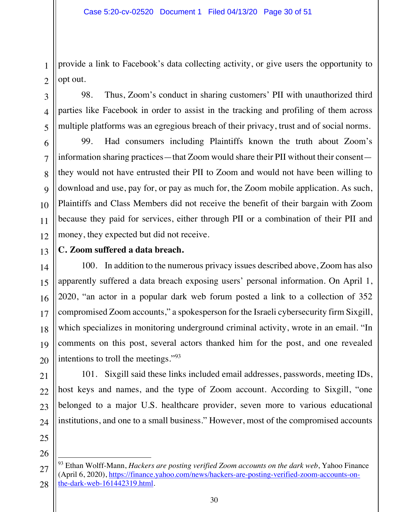provide a link to Facebook's data collecting activity, or give users the opportunity to opt out.

98. Thus, Zoom's conduct in sharing customers' PII with unauthorized third parties like Facebook in order to assist in the tracking and profiling of them across multiple platforms was an egregious breach of their privacy, trust and of social norms.

99. Had consumers including Plaintiffs known the truth about Zoom's information sharing practices—that Zoom would share their PII without their consent they would not have entrusted their PII to Zoom and would not have been willing to download and use, pay for, or pay as much for, the Zoom mobile application. As such, Plaintiffs and Class Members did not receive the benefit of their bargain with Zoom because they paid for services, either through PII or a combination of their PII and money, they expected but did not receive.

# **C. Zoom suffered a data breach.**

100. In addition to the numerous privacy issues described above, Zoom has also apparently suffered a data breach exposing users' personal information. On April 1, 2020, "an actor in a popular dark web forum posted a link to a collection of 352 compromised Zoom accounts," a spokesperson for the Israeli cybersecurity firm Sixgill, which specializes in monitoring underground criminal activity, wrote in an email. "In comments on this post, several actors thanked him for the post, and one revealed intentions to troll the meetings."93

101. Sixgill said these links included email addresses, passwords, meeting IDs, host keys and names, and the type of Zoom account. According to Sixgill, "one belonged to a major U.S. healthcare provider, seven more to various educational institutions, and one to a small business." However, most of the compromised accounts

<sup>93</sup> Ethan Wolff-Mann, *Hackers are posting verified Zoom accounts on the dark web*, Yahoo Finance (April 6, 2020), https://finance.yahoo.com/news/hackers-are-posting-verified-zoom-accounts-onthe-dark-web-161442319.html*.*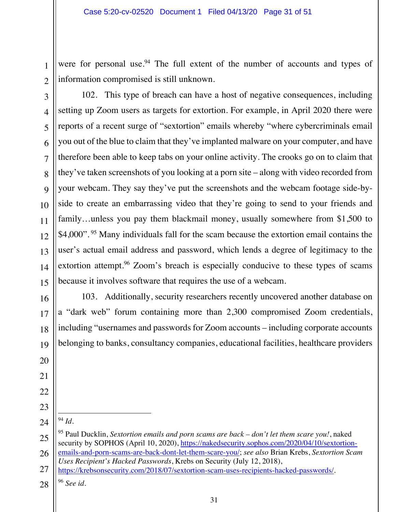were for personal use.<sup>94</sup> The full extent of the number of accounts and types of information compromised is still unknown.

102. This type of breach can have a host of negative consequences, including setting up Zoom users as targets for extortion. For example, in April 2020 there were reports of a recent surge of "sextortion" emails whereby "where cybercriminals email you out of the blue to claim that they've implanted malware on your computer, and have therefore been able to keep tabs on your online activity. The crooks go on to claim that they've taken screenshots of you looking at a porn site – along with video recorded from your webcam. They say they've put the screenshots and the webcam footage side-byside to create an embarrassing video that they're going to send to your friends and family…unless you pay them blackmail money, usually somewhere from \$1,500 to \$4,000".<sup>95</sup> Many individuals fall for the scam because the extortion email contains the user's actual email address and password, which lends a degree of legitimacy to the extortion attempt.<sup>96</sup> Zoom's breach is especially conducive to these types of scams because it involves software that requires the use of a webcam.

103. Additionally, security researchers recently uncovered another database on a "dark web" forum containing more than 2,300 compromised Zoom credentials, including "usernames and passwords for Zoom accounts – including corporate accounts belonging to banks, consultancy companies, educational facilities, healthcare providers

24 24 <sup>94</sup> *Id.* 

1 1

2 2

3 3

4 4

5 5

6 6

7 7

8 8

9 9

10 10

11 11

12 12

13 13

14 14

15 15

16 16

17 17

18 18

19 19

20 20

21 21

22 22

23 23

28 28 <sup>96</sup> *See id*.

<sup>25</sup> 25 26 26 95 Paul Ducklin, *Sextortion emails and porn scams are back – don't let them scare you!*, naked security by SOPHOS (April 10, 2020), https://nakedsecurity.sophos.com/2020/04/10/sextortionemails-and-porn-scams-are-back-dont-let-them-scare-you/; *see also* Brian Krebs, *Sextortion Scam Uses Recipient's Hacked Passwords*, Krebs on Security (July 12, 2018),

<sup>27</sup> 27 https://krebsonsecurity.com/2018/07/sextortion-scam-uses-recipients-hacked-passwords/.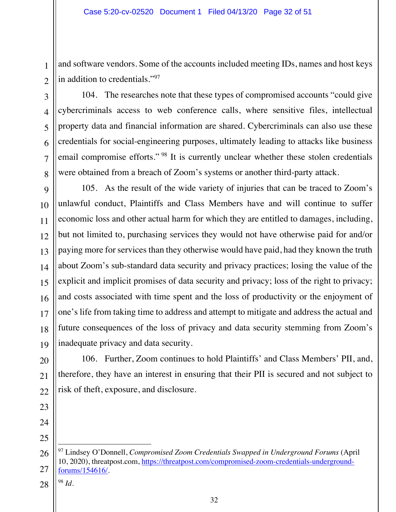and software vendors. Some of the accounts included meeting IDs, names and host keys in addition to credentials."97

104. The researches note that these types of compromised accounts "could give cybercriminals access to web conference calls, where sensitive files, intellectual property data and financial information are shared. Cybercriminals can also use these credentials for social-engineering purposes, ultimately leading to attacks like business email compromise efforts." <sup>98</sup> It is currently unclear whether these stolen credentials were obtained from a breach of Zoom's systems or another third-party attack.

105. As the result of the wide variety of injuries that can be traced to Zoom's unlawful conduct, Plaintiffs and Class Members have and will continue to suffer economic loss and other actual harm for which they are entitled to damages, including, but not limited to, purchasing services they would not have otherwise paid for and/or paying more for services than they otherwise would have paid, had they known the truth about Zoom's sub-standard data security and privacy practices; losing the value of the explicit and implicit promises of data security and privacy; loss of the right to privacy; and costs associated with time spent and the loss of productivity or the enjoyment of one's life from taking time to address and attempt to mitigate and address the actual and future consequences of the loss of privacy and data security stemming from Zoom's inadequate privacy and data security.

106. Further, Zoom continues to hold Plaintiffs' and Class Members' PII, and, therefore, they have an interest in ensuring that their PII is secured and not subject to risk of theft, exposure, and disclosure.

26 26

27 27

1 1

2 2

3 3

4 4

5 5

6 6

7 7

8 8

9 9

10 10

11 11

12 12

13 13

14 14

15 15

16 16

17 17

18 18

19 19

20 20

21 21

22 22

32

28 28 <sup>98</sup> *Id.* 

<sup>97</sup> Lindsey O'Donnell, *Compromised Zoom Credentials Swapped in Underground Forums* (April 10, 2020), threatpost.com, https://threatpost.com/compromised-zoom-credentials-undergroundforums/154616/.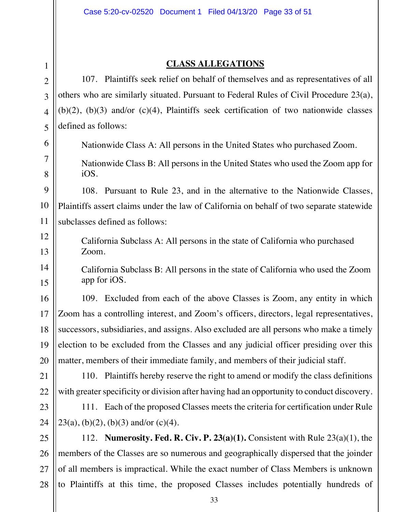9 9

10 10

11 11

12 12

13 13

14 14

15 15

16 16

17 17

18 18

19 19

20 20

21 21

22 22

#### **CLASS ALLEGATIONS**

107. Plaintiffs seek relief on behalf of themselves and as representatives of all others who are similarly situated. Pursuant to Federal Rules of Civil Procedure 23(a),  $(b)(2)$ ,  $(b)(3)$  and/or  $(c)(4)$ , Plaintiffs seek certification of two nationwide classes defined as follows:

Nationwide Class A: All persons in the United States who purchased Zoom.

Nationwide Class B: All persons in the United States who used the Zoom app for iOS.

108. Pursuant to Rule 23, and in the alternative to the Nationwide Classes, Plaintiffs assert claims under the law of California on behalf of two separate statewide subclasses defined as follows:

California Subclass A: All persons in the state of California who purchased Zoom.

California Subclass B: All persons in the state of California who used the Zoom app for iOS.

109. Excluded from each of the above Classes is Zoom, any entity in which Zoom has a controlling interest, and Zoom's officers, directors, legal representatives, successors, subsidiaries, and assigns. Also excluded are all persons who make a timely election to be excluded from the Classes and any judicial officer presiding over this matter, members of their immediate family, and members of their judicial staff.

110. Plaintiffs hereby reserve the right to amend or modify the class definitions with greater specificity or division after having had an opportunity to conduct discovery.

23 23 24 24 111. Each of the proposed Classes meets the criteria for certification under Rule  $23(a)$ , (b)(2), (b)(3) and/or (c)(4).

25 25 26 26 27 27 28 28 112. **Numerosity. Fed. R. Civ. P. 23(a)(1).** Consistent with Rule 23(a)(1), the members of the Classes are so numerous and geographically dispersed that the joinder of all members is impractical. While the exact number of Class Members is unknown to Plaintiffs at this time, the proposed Classes includes potentially hundreds of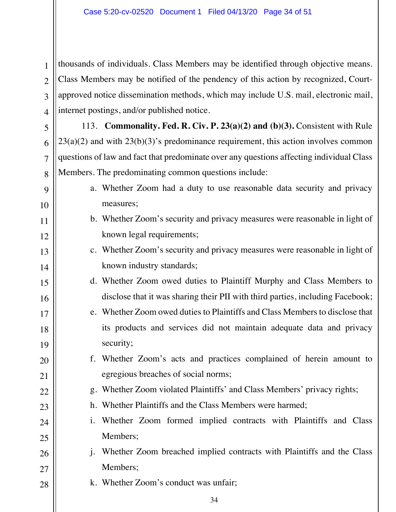1 1

2 2

3 3

4 4

5 5

6 6

7 7

8 8

9 9

10 10

11 11

12 12

13 13

14 14

15 15

16 16

17 17

18 18

19 19

20 20

21 21

22 22

23 23

24 24

25 25

28 28

thousands of individuals. Class Members may be identified through objective means. Class Members may be notified of the pendency of this action by recognized, Courtapproved notice dissemination methods, which may include U.S. mail, electronic mail, internet postings, and/or published notice.

113. **Commonality. Fed. R. Civ. P. 23(a)(2) and (b)(3).** Consistent with Rule  $23(a)(2)$  and with  $23(b)(3)$ 's predominance requirement, this action involves common questions of law and fact that predominate over any questions affecting individual Class Members. The predominating common questions include:

- a. Whether Zoom had a duty to use reasonable data security and privacy measures;
- b. Whether Zoom's security and privacy measures were reasonable in light of known legal requirements;
- c. Whether Zoom's security and privacy measures were reasonable in light of known industry standards;
- d. Whether Zoom owed duties to Plaintiff Murphy and Class Members to disclose that it was sharing their PII with third parties, including Facebook;
- e. Whether Zoom owed duties to Plaintiffs and Class Members to disclose that its products and services did not maintain adequate data and privacy security;
- f. Whether Zoom's acts and practices complained of herein amount to egregious breaches of social norms;
	- g. Whether Zoom violated Plaintiffs' and Class Members' privacy rights;
	- h. Whether Plaintiffs and the Class Members were harmed;
- i. Whether Zoom formed implied contracts with Plaintiffs and Class Members;
- 26 26 27 27 j. Whether Zoom breached implied contracts with Plaintiffs and the Class Members;
	- k. Whether Zoom's conduct was unfair;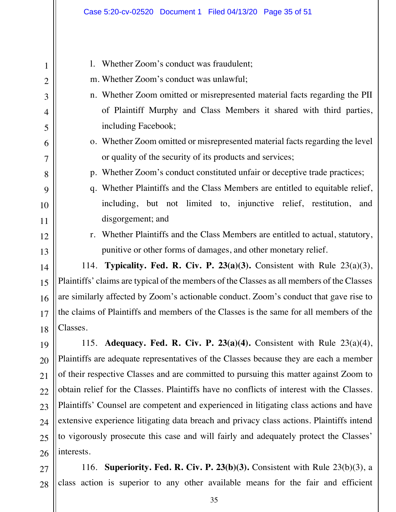| $\mathbf{1}$   | 1. Whether Zoom's conduct was fraudulent;                                                  |  |
|----------------|--------------------------------------------------------------------------------------------|--|
| $\overline{2}$ | m. Whether Zoom's conduct was unlawful;                                                    |  |
| 3              | n. Whether Zoom omitted or misrepresented material facts regarding the PII                 |  |
| $\overline{4}$ | of Plaintiff Murphy and Class Members it shared with third parties,                        |  |
| 5              | including Facebook;                                                                        |  |
| 6              | o. Whether Zoom omitted or misrepresented material facts regarding the level               |  |
| 7              | or quality of the security of its products and services;                                   |  |
| 8              | p. Whether Zoom's conduct constituted unfair or deceptive trade practices;                 |  |
| 9              | q. Whether Plaintiffs and the Class Members are entitled to equitable relief,              |  |
| 10             | including, but not limited to, injunctive relief, restitution,<br>and                      |  |
| 11             | disgorgement; and                                                                          |  |
| 12             | r. Whether Plaintiffs and the Class Members are entitled to actual, statutory,             |  |
| 13             | punitive or other forms of damages, and other monetary relief.                             |  |
| 14             | 114. Typicality. Fed. R. Civ. P. 23(a)(3). Consistent with Rule $23(a)(3)$ ,               |  |
| 15             | Plaintiffs' claims are typical of the members of the Classes as all members of the Classes |  |
| 16             | are similarly affected by Zoom's actionable conduct. Zoom's conduct that gave rise to      |  |
| 17             | the claims of Plaintiffs and members of the Classes is the same for all members of the     |  |
| 18             | Classes.                                                                                   |  |
| 19             | 115. Adequacy. Fed. R. Civ. P. 23(a)(4). Consistent with Rule $23(a)(4)$ ,                 |  |
| 20             | Plaintiffs are adequate representatives of the Classes because they are each a member      |  |
| 21             | of their respective Classes and are committed to pursuing this matter against Zoom to      |  |
| 22             | obtain relief for the Classes. Plaintiffs have no conflicts of interest with the Classes.  |  |
| 23             | Plaintiffs' Counsel are competent and experienced in litigating class actions and have     |  |
| 24             | extensive experience litigating data breach and privacy class actions. Plaintiffs intend   |  |
| 25             | to vigorously prosecute this case and will fairly and adequately protect the Classes'      |  |
| 26             | interests.                                                                                 |  |

27 27 28 28 116. **Superiority. Fed. R. Civ. P. 23(b)(3).** Consistent with Rule 23(b)(3), a class action is superior to any other available means for the fair and efficient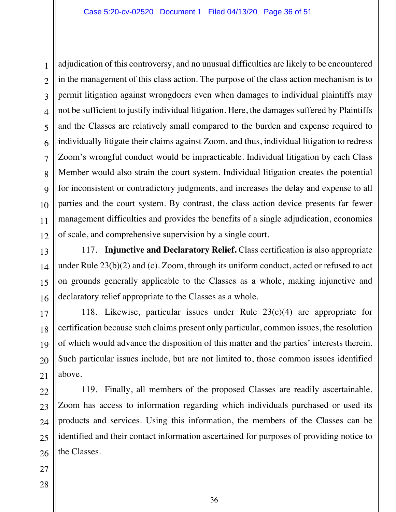adjudication of this controversy, and no unusual difficulties are likely to be encountered in the management of this class action. The purpose of the class action mechanism is to permit litigation against wrongdoers even when damages to individual plaintiffs may not be sufficient to justify individual litigation. Here, the damages suffered by Plaintiffs and the Classes are relatively small compared to the burden and expense required to individually litigate their claims against Zoom, and thus, individual litigation to redress Zoom's wrongful conduct would be impracticable. Individual litigation by each Class Member would also strain the court system. Individual litigation creates the potential for inconsistent or contradictory judgments, and increases the delay and expense to all parties and the court system. By contrast, the class action device presents far fewer management difficulties and provides the benefits of a single adjudication, economies of scale, and comprehensive supervision by a single court.

117. **Injunctive and Declaratory Relief.** Class certification is also appropriate under Rule 23(b)(2) and (c). Zoom, through its uniform conduct, acted or refused to act on grounds generally applicable to the Classes as a whole, making injunctive and declaratory relief appropriate to the Classes as a whole.

118. Likewise, particular issues under Rule 23(c)(4) are appropriate for certification because such claims present only particular, common issues, the resolution of which would advance the disposition of this matter and the parties' interests therein. Such particular issues include, but are not limited to, those common issues identified above.

119. Finally, all members of the proposed Classes are readily ascertainable. Zoom has access to information regarding which individuals purchased or used its products and services. Using this information, the members of the Classes can be identified and their contact information ascertained for purposes of providing notice to the Classes.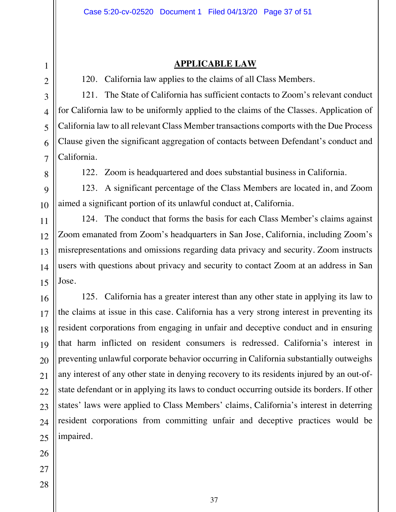#### **APPLICABLE LAW**

120. California law applies to the claims of all Class Members.

121. The State of California has sufficient contacts to Zoom's relevant conduct for California law to be uniformly applied to the claims of the Classes. Application of California law to all relevant Class Member transactions comports with the Due Process Clause given the significant aggregation of contacts between Defendant's conduct and California.

122. Zoom is headquartered and does substantial business in California.

123. A significant percentage of the Class Members are located in, and Zoom aimed a significant portion of its unlawful conduct at, California.

124. The conduct that forms the basis for each Class Member's claims against Zoom emanated from Zoom's headquarters in San Jose, California, including Zoom's misrepresentations and omissions regarding data privacy and security. Zoom instructs users with questions about privacy and security to contact Zoom at an address in San Jose.

125. California has a greater interest than any other state in applying its law to the claims at issue in this case. California has a very strong interest in preventing its resident corporations from engaging in unfair and deceptive conduct and in ensuring that harm inflicted on resident consumers is redressed. California's interest in preventing unlawful corporate behavior occurring in California substantially outweighs any interest of any other state in denying recovery to its residents injured by an out-ofstate defendant or in applying its laws to conduct occurring outside its borders. If other states' laws were applied to Class Members' claims, California's interest in deterring resident corporations from committing unfair and deceptive practices would be impaired.

26 26

1 1

2 2

3 3

4 4

5 5

6 6

7 7

8 8

9 9

10 10

11 11

12 12

13 13

14 14

15 15

16 16

17 17

18 18

19 19

20 20

21 21

22 22

23 23

24 24

- 27 27
- 28 28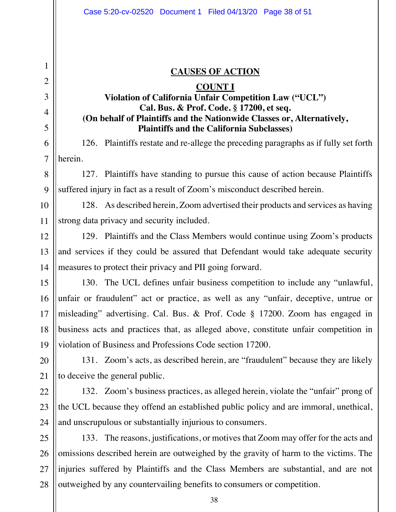#### **CAUSES OF ACTION**

# **COUNT I Violation of California Unfair Competition Law ("UCL") Cal. Bus. & Prof. Code. § 17200, et seq. (On behalf of Plaintiffs and the Nationwide Classes or, Alternatively, Plaintiffs and the California Subclasses)**

126. Plaintiffs restate and re-allege the preceding paragraphs as if fully set forth herein.

127. Plaintiffs have standing to pursue this cause of action because Plaintiffs suffered injury in fact as a result of Zoom's misconduct described herein.

128. As described herein, Zoom advertised their products and services as having strong data privacy and security included.

129. Plaintiffs and the Class Members would continue using Zoom's products and services if they could be assured that Defendant would take adequate security measures to protect their privacy and PII going forward.

130. The UCL defines unfair business competition to include any "unlawful, unfair or fraudulent" act or practice, as well as any "unfair, deceptive, untrue or misleading" advertising. Cal. Bus. & Prof. Code § 17200. Zoom has engaged in business acts and practices that, as alleged above, constitute unfair competition in violation of Business and Professions Code section 17200.

131. Zoom's acts, as described herein, are "fraudulent" because they are likely to deceive the general public.

132. Zoom's business practices, as alleged herein, violate the "unfair" prong of the UCL because they offend an established public policy and are immoral, unethical, and unscrupulous or substantially injurious to consumers.

133. The reasons, justifications, or motives that Zoom may offer for the acts and omissions described herein are outweighed by the gravity of harm to the victims. The injuries suffered by Plaintiffs and the Class Members are substantial, and are not outweighed by any countervailing benefits to consumers or competition.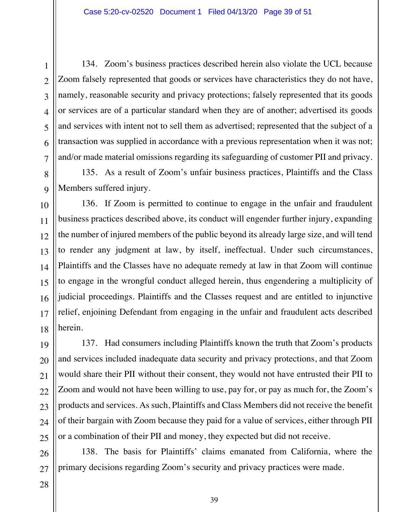134. Zoom's business practices described herein also violate the UCL because Zoom falsely represented that goods or services have characteristics they do not have, namely, reasonable security and privacy protections; falsely represented that its goods or services are of a particular standard when they are of another; advertised its goods and services with intent not to sell them as advertised; represented that the subject of a transaction was supplied in accordance with a previous representation when it was not; and/or made material omissions regarding its safeguarding of customer PII and privacy.

135. As a result of Zoom's unfair business practices, Plaintiffs and the Class Members suffered injury.

136. If Zoom is permitted to continue to engage in the unfair and fraudulent business practices described above, its conduct will engender further injury, expanding the number of injured members of the public beyond its already large size, and will tend to render any judgment at law, by itself, ineffectual. Under such circumstances, Plaintiffs and the Classes have no adequate remedy at law in that Zoom will continue to engage in the wrongful conduct alleged herein, thus engendering a multiplicity of judicial proceedings. Plaintiffs and the Classes request and are entitled to injunctive relief, enjoining Defendant from engaging in the unfair and fraudulent acts described herein.

137. Had consumers including Plaintiffs known the truth that Zoom's products and services included inadequate data security and privacy protections, and that Zoom would share their PII without their consent, they would not have entrusted their PII to Zoom and would not have been willing to use, pay for, or pay as much for, the Zoom's products and services. As such, Plaintiffs and Class Members did not receive the benefit of their bargain with Zoom because they paid for a value of services, either through PII or a combination of their PII and money, they expected but did not receive.

138. The basis for Plaintiffs' claims emanated from California, where the primary decisions regarding Zoom's security and privacy practices were made.

1 1

2 2

3 3

4 4

5 5

6 6

7 7

8 8

9 9

10 10

11 11

12 12

13 13

14 14

15 15

16 16

17 17

18 18

19 19

20 20

21 21

22 22

23 23

24 24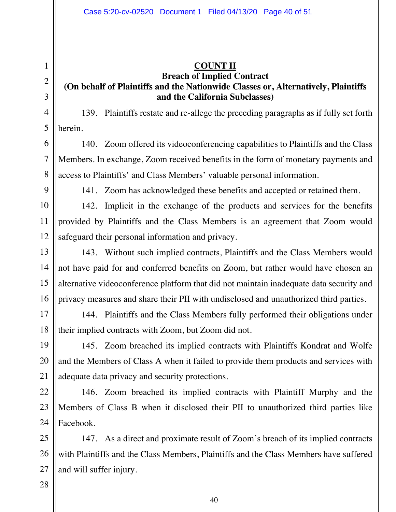### **COUNT II Breach of Implied Contract (On behalf of Plaintiffs and the Nationwide Classes or, Alternatively, Plaintiffs and the California Subclasses)**

139. Plaintiffs restate and re-allege the preceding paragraphs as if fully set forth herein.

140. Zoom offered its videoconferencing capabilities to Plaintiffs and the Class Members. In exchange, Zoom received benefits in the form of monetary payments and access to Plaintiffs' and Class Members' valuable personal information.

141. Zoom has acknowledged these benefits and accepted or retained them.

142. Implicit in the exchange of the products and services for the benefits provided by Plaintiffs and the Class Members is an agreement that Zoom would safeguard their personal information and privacy.

143. Without such implied contracts, Plaintiffs and the Class Members would not have paid for and conferred benefits on Zoom, but rather would have chosen an alternative videoconference platform that did not maintain inadequate data security and privacy measures and share their PII with undisclosed and unauthorized third parties.

144. Plaintiffs and the Class Members fully performed their obligations under their implied contracts with Zoom, but Zoom did not.

145. Zoom breached its implied contracts with Plaintiffs Kondrat and Wolfe and the Members of Class A when it failed to provide them products and services with adequate data privacy and security protections.

146. Zoom breached its implied contracts with Plaintiff Murphy and the Members of Class B when it disclosed their PII to unauthorized third parties like Facebook.

147. As a direct and proximate result of Zoom's breach of its implied contracts with Plaintiffs and the Class Members, Plaintiffs and the Class Members have suffered and will suffer injury.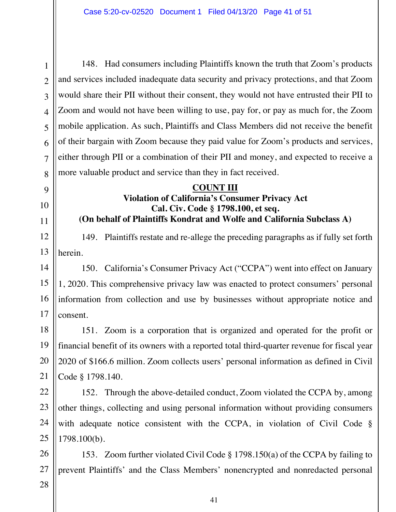148. Had consumers including Plaintiffs known the truth that Zoom's products and services included inadequate data security and privacy protections, and that Zoom would share their PII without their consent, they would not have entrusted their PII to Zoom and would not have been willing to use, pay for, or pay as much for, the Zoom mobile application. As such, Plaintiffs and Class Members did not receive the benefit of their bargain with Zoom because they paid value for Zoom's products and services, either through PII or a combination of their PII and money, and expected to receive a more valuable product and service than they in fact received.

#### **COUNT III**

# **Violation of California's Consumer Privacy Act Cal. Civ. Code § 1798.100, et seq. (On behalf of Plaintiffs Kondrat and Wolfe and California Subclass A)**

149. Plaintiffs restate and re-allege the preceding paragraphs as if fully set forth herein.

14 14 15 15 16 16 17 17 150. California's Consumer Privacy Act ("CCPA") went into effect on January 1, 2020. This comprehensive privacy law was enacted to protect consumers' personal information from collection and use by businesses without appropriate notice and consent.

151. Zoom is a corporation that is organized and operated for the profit or financial benefit of its owners with a reported total third-quarter revenue for fiscal year 2020 of \$166.6 million. Zoom collects users' personal information as defined in Civil Code § 1798.140.

152. Through the above-detailed conduct, Zoom violated the CCPA by, among other things, collecting and using personal information without providing consumers with adequate notice consistent with the CCPA, in violation of Civil Code § 1798.100(b).

26 26 27 27 153. Zoom further violated Civil Code § 1798.150(a) of the CCPA by failing to prevent Plaintiffs' and the Class Members' nonencrypted and nonredacted personal

28 28

1 1

2 2

3 3

4 4

5 5

6 6

7 7

8 8

9 9

10 10

11 11

12 12

13 13

18 18

19 19

20 20

21 21

22 22

23 23

24 24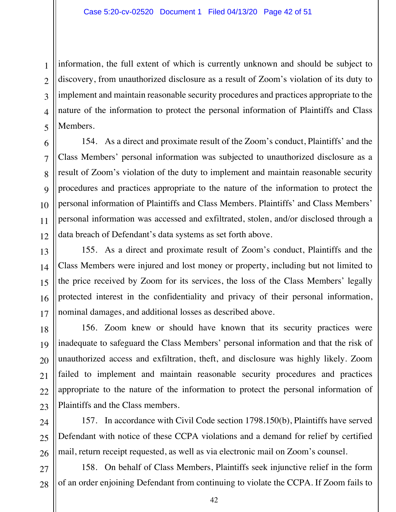information, the full extent of which is currently unknown and should be subject to discovery, from unauthorized disclosure as a result of Zoom's violation of its duty to implement and maintain reasonable security procedures and practices appropriate to the nature of the information to protect the personal information of Plaintiffs and Class Members.

28 28

1 1

2 2

3 3

4 4

5 5

154. As a direct and proximate result of the Zoom's conduct, Plaintiffs' and the Class Members' personal information was subjected to unauthorized disclosure as a result of Zoom's violation of the duty to implement and maintain reasonable security procedures and practices appropriate to the nature of the information to protect the personal information of Plaintiffs and Class Members. Plaintiffs' and Class Members' personal information was accessed and exfiltrated, stolen, and/or disclosed through a data breach of Defendant's data systems as set forth above.

155. As a direct and proximate result of Zoom's conduct, Plaintiffs and the Class Members were injured and lost money or property, including but not limited to the price received by Zoom for its services, the loss of the Class Members' legally protected interest in the confidentiality and privacy of their personal information, nominal damages, and additional losses as described above.

156. Zoom knew or should have known that its security practices were inadequate to safeguard the Class Members' personal information and that the risk of unauthorized access and exfiltration, theft, and disclosure was highly likely. Zoom failed to implement and maintain reasonable security procedures and practices appropriate to the nature of the information to protect the personal information of Plaintiffs and the Class members.

157. In accordance with Civil Code section 1798.150(b), Plaintiffs have served Defendant with notice of these CCPA violations and a demand for relief by certified mail, return receipt requested, as well as via electronic mail on Zoom's counsel.

158. On behalf of Class Members, Plaintiffs seek injunctive relief in the form of an order enjoining Defendant from continuing to violate the CCPA. If Zoom fails to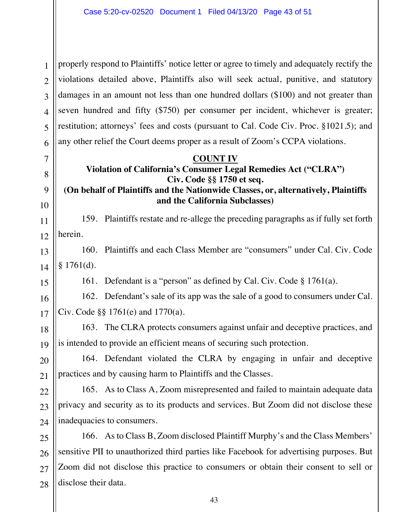1 1 2 2 3 3 4 4 5 5 6 6 properly respond to Plaintiffs' notice letter or agree to timely and adequately rectify the violations detailed above, Plaintiffs also will seek actual, punitive, and statutory damages in an amount not less than one hundred dollars (\$100) and not greater than seven hundred and fifty (\$750) per consumer per incident, whichever is greater; restitution; attorneys' fees and costs (pursuant to Cal. Code Civ. Proc. §1021.5); and any other relief the Court deems proper as a result of Zoom's CCPA violations.

#### **COUNT IV**

7 7

8 8

9 9

10 10

15 15

16 16

17 17

18 18

19 19

20 20

21 21

# **Violation of California's Consumer Legal Remedies Act ("CLRA") Civ. Code §§ 1750 et seq.**

# **(On behalf of Plaintiffs and the Nationwide Classes, or, alternatively, Plaintiffs and the California Subclasses)**

11 11 12 12 159. Plaintiffs restate and re-allege the preceding paragraphs as if fully set forth herein.

13 13 14 14 160. Plaintiffs and each Class Member are "consumers" under Cal. Civ. Code § 1761(d).

161. Defendant is a "person" as defined by Cal. Civ. Code § 1761(a).

162. Defendant's sale of its app was the sale of a good to consumers under Cal. Civ. Code §§ 1761(e) and 1770(a).

163. The CLRA protects consumers against unfair and deceptive practices, and is intended to provide an efficient means of securing such protection.

164. Defendant violated the CLRA by engaging in unfair and deceptive practices and by causing harm to Plaintiffs and the Classes.

22 22 23 23 24 24 165. As to Class A, Zoom misrepresented and failed to maintain adequate data privacy and security as to its products and services. But Zoom did not disclose these inadequacies to consumers.

25 25 26 26 27 27 28 28 166. As to Class B, Zoom disclosed Plaintiff Murphy's and the Class Members' sensitive PII to unauthorized third parties like Facebook for advertising purposes. But Zoom did not disclose this practice to consumers or obtain their consent to sell or disclose their data.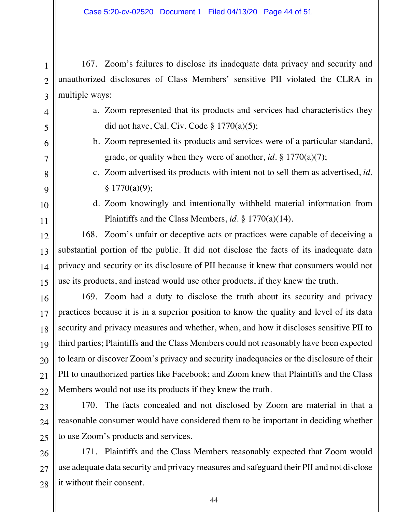167. Zoom's failures to disclose its inadequate data privacy and security and unauthorized disclosures of Class Members' sensitive PII violated the CLRA in multiple ways:

- a. Zoom represented that its products and services had characteristics they did not have, Cal. Civ. Code  $\S 1770(a)(5)$ ;
- b. Zoom represented its products and services were of a particular standard, grade, or quality when they were of another, *id.* § 1770(a)(7);
- c. Zoom advertised its products with intent not to sell them as advertised, *id.*  $§ 1770(a)(9);$
- d. Zoom knowingly and intentionally withheld material information from Plaintiffs and the Class Members, *id.* § 1770(a)(14).

168. Zoom's unfair or deceptive acts or practices were capable of deceiving a substantial portion of the public. It did not disclose the facts of its inadequate data privacy and security or its disclosure of PII because it knew that consumers would not use its products, and instead would use other products, if they knew the truth.

169. Zoom had a duty to disclose the truth about its security and privacy practices because it is in a superior position to know the quality and level of its data security and privacy measures and whether, when, and how it discloses sensitive PII to third parties; Plaintiffs and the Class Members could not reasonably have been expected to learn or discover Zoom's privacy and security inadequacies or the disclosure of their PII to unauthorized parties like Facebook; and Zoom knew that Plaintiffs and the Class Members would not use its products if they knew the truth.

170. The facts concealed and not disclosed by Zoom are material in that a reasonable consumer would have considered them to be important in deciding whether to use Zoom's products and services.

28 28 171. Plaintiffs and the Class Members reasonably expected that Zoom would use adequate data security and privacy measures and safeguard their PII and not disclose it without their consent.

1 1

2 2

3 3

4 4

5 5

6 6

7 7

8 8

9 9

10 10

11 11

12 12

13 13

14 14

15 15

16 16

17 17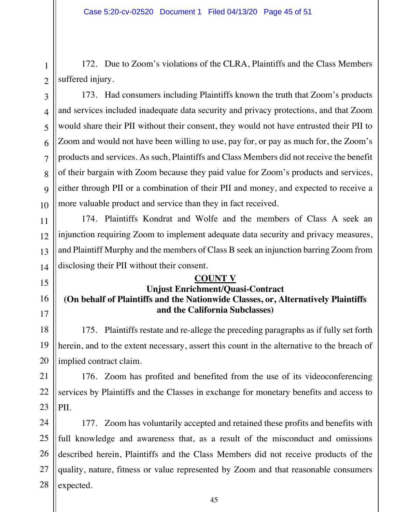172. Due to Zoom's violations of the CLRA, Plaintiffs and the Class Members suffered injury.

173. Had consumers including Plaintiffs known the truth that Zoom's products and services included inadequate data security and privacy protections, and that Zoom would share their PII without their consent, they would not have entrusted their PII to Zoom and would not have been willing to use, pay for, or pay as much for, the Zoom's products and services. As such, Plaintiffs and Class Members did not receive the benefit of their bargain with Zoom because they paid value for Zoom's products and services, either through PII or a combination of their PII and money, and expected to receive a more valuable product and service than they in fact received.

174. Plaintiffs Kondrat and Wolfe and the members of Class A seek an injunction requiring Zoom to implement adequate data security and privacy measures, and Plaintiff Murphy and the members of Class B seek an injunction barring Zoom from disclosing their PII without their consent.

### **COUNT V**

# **Unjust Enrichment/Quasi-Contract (On behalf of Plaintiffs and the Nationwide Classes, or, Alternatively Plaintiffs and the California Subclasses)**

175. Plaintiffs restate and re-allege the preceding paragraphs as if fully set forth herein, and to the extent necessary, assert this count in the alternative to the breach of implied contract claim.

176. Zoom has profited and benefited from the use of its videoconferencing services by Plaintiffs and the Classes in exchange for monetary benefits and access to PII.

24 24 25 25 26 26 27 27 28 28 177. Zoom has voluntarily accepted and retained these profits and benefits with full knowledge and awareness that, as a result of the misconduct and omissions described herein, Plaintiffs and the Class Members did not receive products of the quality, nature, fitness or value represented by Zoom and that reasonable consumers expected.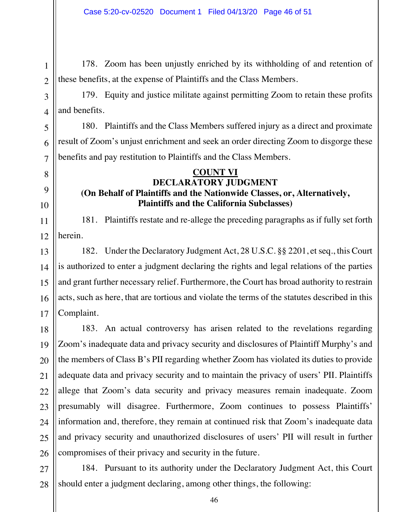178. Zoom has been unjustly enriched by its withholding of and retention of these benefits, at the expense of Plaintiffs and the Class Members.

179. Equity and justice militate against permitting Zoom to retain these profits and benefits.

180. Plaintiffs and the Class Members suffered injury as a direct and proximate result of Zoom's unjust enrichment and seek an order directing Zoom to disgorge these benefits and pay restitution to Plaintiffs and the Class Members.

# **COUNT VI DECLARATORY JUDGMENT (On Behalf of Plaintiffs and the Nationwide Classes, or, Alternatively, Plaintiffs and the California Subclasses)**

181. Plaintiffs restate and re-allege the preceding paragraphs as if fully set forth herein.

182. Under the Declaratory Judgment Act, 28 U.S.C. §§ 2201, et seq., this Court is authorized to enter a judgment declaring the rights and legal relations of the parties and grant further necessary relief. Furthermore, the Court has broad authority to restrain acts, such as here, that are tortious and violate the terms of the statutes described in this Complaint.

25 25 26 26 183. An actual controversy has arisen related to the revelations regarding Zoom's inadequate data and privacy security and disclosures of Plaintiff Murphy's and the members of Class B's PII regarding whether Zoom has violated its duties to provide adequate data and privacy security and to maintain the privacy of users' PII. Plaintiffs allege that Zoom's data security and privacy measures remain inadequate. Zoom presumably will disagree. Furthermore, Zoom continues to possess Plaintiffs' information and, therefore, they remain at continued risk that Zoom's inadequate data and privacy security and unauthorized disclosures of users' PII will result in further compromises of their privacy and security in the future.

27 27 28 28 184. Pursuant to its authority under the Declaratory Judgment Act, this Court should enter a judgment declaring, among other things, the following: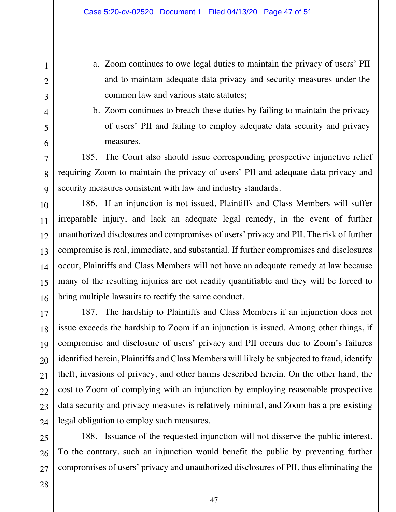a. Zoom continues to owe legal duties to maintain the privacy of users' PII and to maintain adequate data privacy and security measures under the common law and various state statutes;

b. Zoom continues to breach these duties by failing to maintain the privacy of users' PII and failing to employ adequate data security and privacy measures.

185. The Court also should issue corresponding prospective injunctive relief requiring Zoom to maintain the privacy of users' PII and adequate data privacy and security measures consistent with law and industry standards.

186. If an injunction is not issued, Plaintiffs and Class Members will suffer irreparable injury, and lack an adequate legal remedy, in the event of further unauthorized disclosures and compromises of users' privacy and PII. The risk of further compromise is real, immediate, and substantial. If further compromises and disclosures occur, Plaintiffs and Class Members will not have an adequate remedy at law because many of the resulting injuries are not readily quantifiable and they will be forced to bring multiple lawsuits to rectify the same conduct.

187. The hardship to Plaintiffs and Class Members if an injunction does not issue exceeds the hardship to Zoom if an injunction is issued. Among other things, if compromise and disclosure of users' privacy and PII occurs due to Zoom's failures identified herein, Plaintiffs and Class Members will likely be subjected to fraud, identify theft, invasions of privacy, and other harms described herein. On the other hand, the cost to Zoom of complying with an injunction by employing reasonable prospective data security and privacy measures is relatively minimal, and Zoom has a pre-existing legal obligation to employ such measures.

188. Issuance of the requested injunction will not disserve the public interest. To the contrary, such an injunction would benefit the public by preventing further compromises of users' privacy and unauthorized disclosures of PII, thus eliminating the

1 1

2 2

3 3

4 4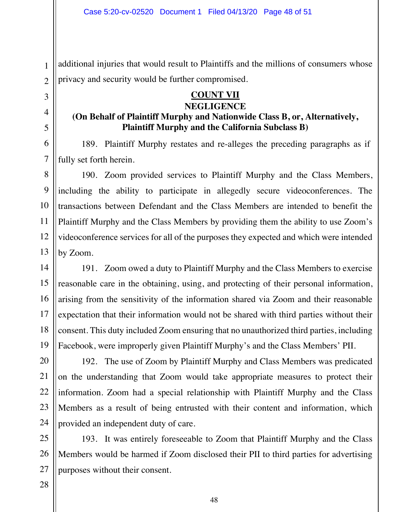additional injuries that would result to Plaintiffs and the millions of consumers whose privacy and security would be further compromised.

# **COUNT VII**

#### **NEGLIGENCE**

# **(On Behalf of Plaintiff Murphy and Nationwide Class B, or, Alternatively, Plaintiff Murphy and the California Subclass B)**

189. Plaintiff Murphy restates and re-alleges the preceding paragraphs as if fully set forth herein.

190. Zoom provided services to Plaintiff Murphy and the Class Members, including the ability to participate in allegedly secure videoconferences. The transactions between Defendant and the Class Members are intended to benefit the Plaintiff Murphy and the Class Members by providing them the ability to use Zoom's videoconference services for all of the purposes they expected and which were intended by Zoom.

191. Zoom owed a duty to Plaintiff Murphy and the Class Members to exercise reasonable care in the obtaining, using, and protecting of their personal information, arising from the sensitivity of the information shared via Zoom and their reasonable expectation that their information would not be shared with third parties without their consent. This duty included Zoom ensuring that no unauthorized third parties, including Facebook, were improperly given Plaintiff Murphy's and the Class Members' PII.

192. The use of Zoom by Plaintiff Murphy and Class Members was predicated on the understanding that Zoom would take appropriate measures to protect their information. Zoom had a special relationship with Plaintiff Murphy and the Class Members as a result of being entrusted with their content and information, which provided an independent duty of care.

193. It was entirely foreseeable to Zoom that Plaintiff Murphy and the Class Members would be harmed if Zoom disclosed their PII to third parties for advertising purposes without their consent.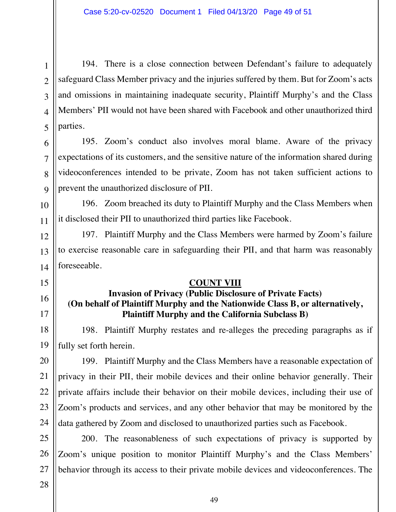194. There is a close connection between Defendant's failure to adequately safeguard Class Member privacy and the injuries suffered by them. But for Zoom's acts and omissions in maintaining inadequate security, Plaintiff Murphy's and the Class Members' PII would not have been shared with Facebook and other unauthorized third parties.

195. Zoom's conduct also involves moral blame. Aware of the privacy expectations of its customers, and the sensitive nature of the information shared during videoconferences intended to be private, Zoom has not taken sufficient actions to prevent the unauthorized disclosure of PII.

196. Zoom breached its duty to Plaintiff Murphy and the Class Members when it disclosed their PII to unauthorized third parties like Facebook.

197. Plaintiff Murphy and the Class Members were harmed by Zoom's failure to exercise reasonable care in safeguarding their PII, and that harm was reasonably foreseeable.

# **COUNT VIII**

# **Invasion of Privacy (Public Disclosure of Private Facts) (On behalf of Plaintiff Murphy and the Nationwide Class B, or alternatively, Plaintiff Murphy and the California Subclass B)**

198. Plaintiff Murphy restates and re-alleges the preceding paragraphs as if fully set forth herein.

199. Plaintiff Murphy and the Class Members have a reasonable expectation of privacy in their PII, their mobile devices and their online behavior generally. Their private affairs include their behavior on their mobile devices, including their use of Zoom's products and services, and any other behavior that may be monitored by the data gathered by Zoom and disclosed to unauthorized parties such as Facebook.

200. The reasonableness of such expectations of privacy is supported by Zoom's unique position to monitor Plaintiff Murphy's and the Class Members' behavior through its access to their private mobile devices and videoconferences. The

1 1

2 2

3 3

4 4

5 5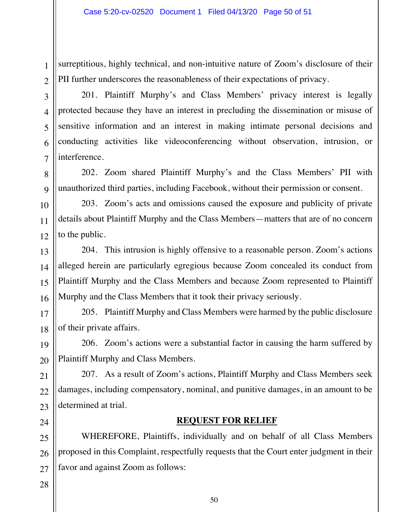surreptitious, highly technical, and non-intuitive nature of Zoom's disclosure of their PII further underscores the reasonableness of their expectations of privacy.

201. Plaintiff Murphy's and Class Members' privacy interest is legally protected because they have an interest in precluding the dissemination or misuse of sensitive information and an interest in making intimate personal decisions and conducting activities like videoconferencing without observation, intrusion, or interference.

202. Zoom shared Plaintiff Murphy's and the Class Members' PII with unauthorized third parties, including Facebook, without their permission or consent.

203. Zoom's acts and omissions caused the exposure and publicity of private details about Plaintiff Murphy and the Class Members—matters that are of no concern to the public.

204. This intrusion is highly offensive to a reasonable person. Zoom's actions alleged herein are particularly egregious because Zoom concealed its conduct from Plaintiff Murphy and the Class Members and because Zoom represented to Plaintiff Murphy and the Class Members that it took their privacy seriously.

205. Plaintiff Murphy and Class Members were harmed by the public disclosure of their private affairs.

206. Zoom's actions were a substantial factor in causing the harm suffered by Plaintiff Murphy and Class Members.

207. As a result of Zoom's actions, Plaintiff Murphy and Class Members seek damages, including compensatory, nominal, and punitive damages, in an amount to be determined at trial.

### **REQUEST FOR RELIEF**

WHEREFORE, Plaintiffs, individually and on behalf of all Class Members proposed in this Complaint, respectfully requests that the Court enter judgment in their favor and against Zoom as follows:

1 1

2 2

3 3

4 4

5 5

6 6

7 7

8 8

9 9

10 10